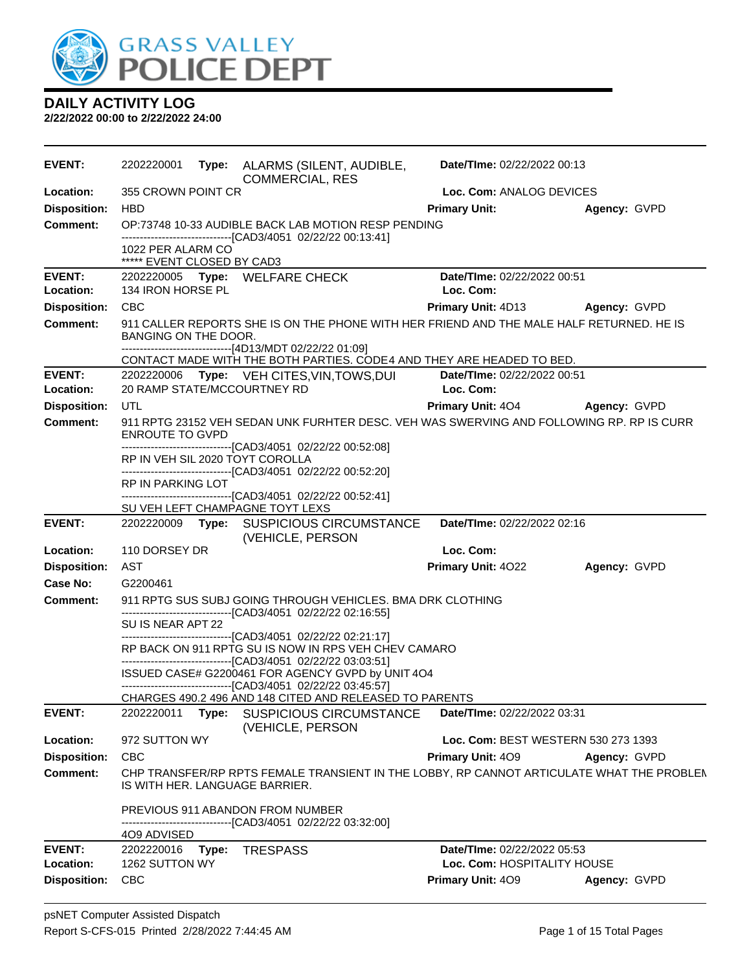

| <b>EVENT:</b>                          | 2202220001                                      |       | Type: ALARMS (SILENT, AUDIBLE,<br><b>COMMERCIAL, RES</b>                                                                                                                             | Date/TIme: 02/22/2022 00:13              |                     |
|----------------------------------------|-------------------------------------------------|-------|--------------------------------------------------------------------------------------------------------------------------------------------------------------------------------------|------------------------------------------|---------------------|
| Location:                              | 355 CROWN POINT CR                              |       |                                                                                                                                                                                      | Loc. Com: ANALOG DEVICES                 |                     |
| <b>Disposition:</b>                    | <b>HBD</b>                                      |       |                                                                                                                                                                                      | <b>Primary Unit:</b>                     | Agency: GVPD        |
| Comment:                               |                                                 |       | OP:73748 10-33 AUDIBLE BACK LAB MOTION RESP PENDING<br>-------------------------------[CAD3/4051 02/22/22 00:13:41]                                                                  |                                          |                     |
|                                        | 1022 PER ALARM CO<br>***** EVENT CLOSED BY CAD3 |       |                                                                                                                                                                                      |                                          |                     |
| <b>EVENT:</b>                          |                                                 |       | 2202220005 Type: WELFARE CHECK                                                                                                                                                       | Date/TIme: 02/22/2022 00:51              |                     |
| Location:                              | 134 IRON HORSE PL                               |       |                                                                                                                                                                                      | Loc. Com:                                |                     |
| <b>Disposition:</b>                    | <b>CBC</b>                                      |       |                                                                                                                                                                                      | <b>Primary Unit: 4D13</b>                | <b>Agency: GVPD</b> |
| <b>Comment:</b>                        | BANGING ON THE DOOR.                            |       | 911 CALLER REPORTS SHE IS ON THE PHONE WITH HER FRIEND AND THE MALE HALF RETURNED. HE IS<br>-------------------------------[4D13/MDT 02/22/22 01:09]                                 |                                          |                     |
|                                        |                                                 |       | CONTACT MADE WITH THE BOTH PARTIES. CODE4 AND THEY ARE HEADED TO BED.                                                                                                                |                                          |                     |
| <b>EVENT:</b><br>Location:             |                                                 |       | 2202220006 Type: VEH CITES, VIN, TOWS, DUI<br>20 RAMP STATE/MCCOURTNEY RD                                                                                                            | Date/TIme: 02/22/2022 00:51<br>Loc. Com: |                     |
| <b>Disposition:</b>                    | UTL                                             |       |                                                                                                                                                                                      | <b>Primary Unit: 404</b>                 | Agency: GVPD        |
| <b>Comment:</b>                        | <b>ENROUTE TO GVPD</b>                          |       | 911 RPTG 23152 VEH SEDAN UNK FURHTER DESC. VEH WAS SWERVING AND FOLLOWING RP. RP IS CURR                                                                                             |                                          |                     |
|                                        |                                                 |       | -------------------------------[CAD3/4051 02/22/22 00:52:08]<br>RP IN VEH SIL 2020 TOYT COROLLA<br>-------------------------------[CAD3/4051 02/22/22 00:52:20]                      |                                          |                     |
|                                        | RP IN PARKING LOT                               |       |                                                                                                                                                                                      |                                          |                     |
|                                        |                                                 |       | -------------------------------[CAD3/4051_02/22/22 00:52:41]<br>SU VEH LEFT CHAMPAGNE TOYT LEXS                                                                                      |                                          |                     |
| <b>EVENT:</b>                          | 2202220009                                      |       | Type: SUSPICIOUS CIRCUMSTANCE                                                                                                                                                        | Date/TIme: 02/22/2022 02:16              |                     |
|                                        |                                                 |       | (VEHICLE, PERSON                                                                                                                                                                     |                                          |                     |
| Location:                              | 110 DORSEY DR                                   |       |                                                                                                                                                                                      | Loc. Com:                                |                     |
| <b>Disposition:</b><br><b>Case No:</b> | AST<br>G2200461                                 |       |                                                                                                                                                                                      | <b>Primary Unit: 4022</b>                | Agency: GVPD        |
| <b>Comment:</b>                        |                                                 |       | 911 RPTG SUS SUBJ GOING THROUGH VEHICLES. BMA DRK CLOTHING                                                                                                                           |                                          |                     |
|                                        |                                                 |       | ------------------------------[CAD3/4051 02/22/22 02:16:55]                                                                                                                          |                                          |                     |
|                                        | SU IS NEAR APT 22                               |       |                                                                                                                                                                                      |                                          |                     |
|                                        |                                                 |       | -------------------------------[CAD3/4051 02/22/22 02:21:17]<br>RP BACK ON 911 RPTG SU IS NOW IN RPS VEH CHEV CAMARO<br>-------------------------------[CAD3/4051 02/22/22 03:03:51] |                                          |                     |
|                                        |                                                 |       | ISSUED CASE# G2200461 FOR AGENCY GVPD by UNIT 4O4<br>--------------------------------[CAD3/4051_02/22/22 03:45:57]                                                                   |                                          |                     |
|                                        |                                                 |       | CHARGES 490.2 496 AND 148 CITED AND RELEASED TO PARENTS                                                                                                                              |                                          |                     |
| <b>EVENT:</b>                          | 2202220011                                      | Type: | <b>SUSPICIOUS CIRCUMSTANCE</b><br>(VEHICLE, PERSON                                                                                                                                   | Date/TIme: 02/22/2022 03:31              |                     |
| Location:                              | 972 SUTTON WY                                   |       |                                                                                                                                                                                      | Loc. Com: BEST WESTERN 530 273 1393      |                     |
| <b>Disposition:</b>                    | <b>CBC</b>                                      |       |                                                                                                                                                                                      | Primary Unit: 409                        | Agency: GVPD        |
| <b>Comment:</b>                        |                                                 |       | CHP TRANSFER/RP RPTS FEMALE TRANSIENT IN THE LOBBY, RP CANNOT ARTICULATE WHAT THE PROBLEN<br>IS WITH HER. LANGUAGE BARRIER.                                                          |                                          |                     |
|                                        |                                                 |       | PREVIOUS 911 ABANDON FROM NUMBER                                                                                                                                                     |                                          |                     |
|                                        | 4O9 ADVISED                                     |       | -------------------------------[CAD3/4051_02/22/22 03:32:00]                                                                                                                         |                                          |                     |
| <b>EVENT:</b>                          | 2202220016                                      | Type: | <b>TRESPASS</b>                                                                                                                                                                      | Date/TIme: 02/22/2022 05:53              |                     |
| Location:                              | 1262 SUTTON WY                                  |       |                                                                                                                                                                                      | Loc. Com: HOSPITALITY HOUSE              |                     |
| <b>Disposition:</b>                    | <b>CBC</b>                                      |       |                                                                                                                                                                                      | Primary Unit: 409                        | Agency: GVPD        |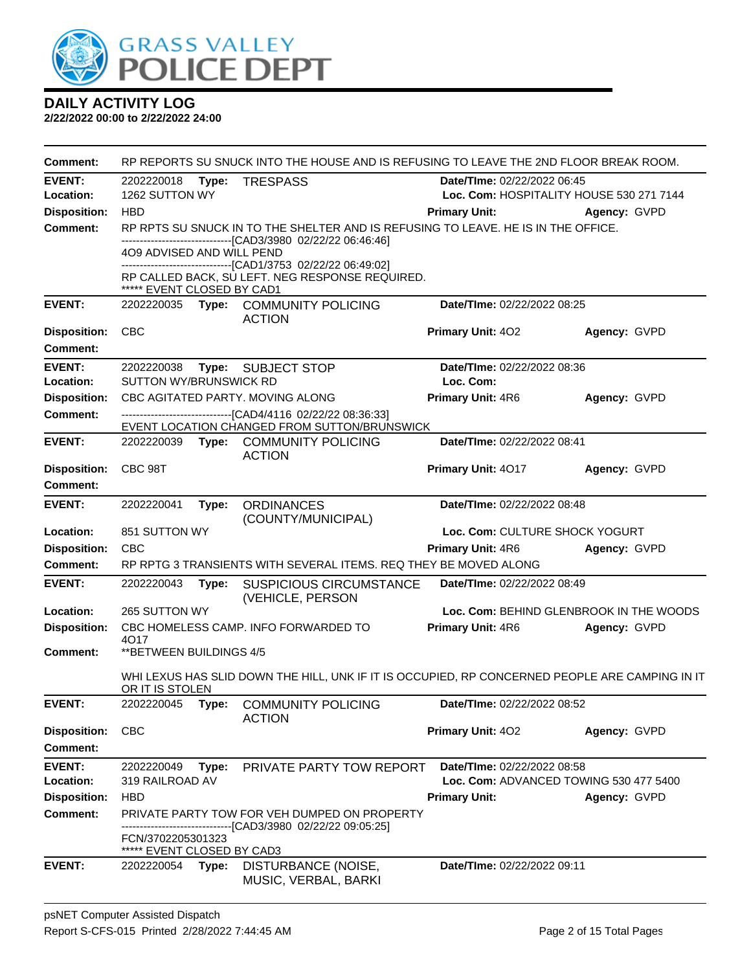

| <b>Comment:</b>     | RP REPORTS SU SNUCK INTO THE HOUSE AND IS REFUSING TO LEAVE THE 2ND FLOOR BREAK ROOM.     |       |                                                                                                 |                                      |                                          |  |  |
|---------------------|-------------------------------------------------------------------------------------------|-------|-------------------------------------------------------------------------------------------------|--------------------------------------|------------------------------------------|--|--|
| <b>EVENT:</b>       | 2202220018                                                                                | Type: | <b>TRESPASS</b>                                                                                 | Date/TIme: 02/22/2022 06:45          |                                          |  |  |
| Location:           | 1262 SUTTON WY                                                                            |       |                                                                                                 |                                      | Loc. Com: HOSPITALITY HOUSE 530 271 7144 |  |  |
| <b>Disposition:</b> | <b>HBD</b>                                                                                |       |                                                                                                 | <b>Primary Unit:</b><br>Agency: GVPD |                                          |  |  |
| Comment:            |                                                                                           |       | RP RPTS SU SNUCK IN TO THE SHELTER AND IS REFUSING TO LEAVE. HE IS IN THE OFFICE.               |                                      |                                          |  |  |
|                     | -------------------------------[CAD3/3980_02/22/22_06:46:46]<br>4O9 ADVISED AND WILL PEND |       |                                                                                                 |                                      |                                          |  |  |
|                     |                                                                                           |       | -------------------------------[CAD1/3753 02/22/22 06:49:02]                                    |                                      |                                          |  |  |
|                     | ***** EVENT CLOSED BY CAD1                                                                |       | RP CALLED BACK, SU LEFT. NEG RESPONSE REQUIRED.                                                 |                                      |                                          |  |  |
| <b>EVENT:</b>       | 2202220035                                                                                |       | Type: COMMUNITY POLICING                                                                        | Date/TIme: 02/22/2022 08:25          |                                          |  |  |
| <b>Disposition:</b> | <b>CBC</b>                                                                                |       | <b>ACTION</b>                                                                                   | Primary Unit: 402                    | Agency: GVPD                             |  |  |
| <b>Comment:</b>     |                                                                                           |       |                                                                                                 |                                      |                                          |  |  |
| <b>EVENT:</b>       | 2202220038                                                                                |       | Type: SUBJECT STOP                                                                              | Date/TIme: 02/22/2022 08:36          |                                          |  |  |
| Location:           | SUTTON WY/BRUNSWICK RD                                                                    |       |                                                                                                 | Loc. Com:                            |                                          |  |  |
| <b>Disposition:</b> |                                                                                           |       | CBC AGITATED PARTY. MOVING ALONG                                                                | Primary Unit: 4R6                    | Agency: GVPD                             |  |  |
| <b>Comment:</b>     |                                                                                           |       | --------------------------------[CAD4/4116 02/22/22 08:36:33]                                   |                                      |                                          |  |  |
| <b>EVENT:</b>       |                                                                                           |       | EVENT LOCATION CHANGED FROM SUTTON/BRUNSWICK<br>2202220039 Type: COMMUNITY POLICING             | Date/TIme: 02/22/2022 08:41          |                                          |  |  |
|                     |                                                                                           |       | <b>ACTION</b>                                                                                   |                                      |                                          |  |  |
| <b>Disposition:</b> | CBC 98T                                                                                   |       |                                                                                                 | Primary Unit: 4017                   | Agency: GVPD                             |  |  |
| <b>Comment:</b>     |                                                                                           |       |                                                                                                 |                                      |                                          |  |  |
| <b>EVENT:</b>       | 2202220041                                                                                | Type: | <b>ORDINANCES</b><br>(COUNTY/MUNICIPAL)                                                         | Date/TIme: 02/22/2022 08:48          |                                          |  |  |
| Location:           | 851 SUTTON WY                                                                             |       |                                                                                                 | Loc. Com: CULTURE SHOCK YOGURT       |                                          |  |  |
| <b>Disposition:</b> | CBC                                                                                       |       |                                                                                                 | <b>Primary Unit: 4R6</b>             | Agency: GVPD                             |  |  |
| <b>Comment:</b>     |                                                                                           |       | RP RPTG 3 TRANSIENTS WITH SEVERAL ITEMS. REQ THEY BE MOVED ALONG                                |                                      |                                          |  |  |
| <b>EVENT:</b>       | 2202220043                                                                                | Type: | <b>SUSPICIOUS CIRCUMSTANCE</b><br>(VEHICLE, PERSON                                              | Date/TIme: 02/22/2022 08:49          |                                          |  |  |
| Location:           | 265 SUTTON WY                                                                             |       |                                                                                                 |                                      | Loc. Com: BEHIND GLENBROOK IN THE WOODS  |  |  |
| <b>Disposition:</b> | 4017                                                                                      |       | CBC HOMELESS CAMP. INFO FORWARDED TO                                                            | Primary Unit: 4R6                    | Agency: GVPD                             |  |  |
| <b>Comment:</b>     | ** BETWEEN BUILDINGS 4/5                                                                  |       |                                                                                                 |                                      |                                          |  |  |
|                     | OR IT IS STOLEN                                                                           |       | WHI LEXUS HAS SLID DOWN THE HILL, UNK IF IT IS OCCUPIED, RP CONCERNED PEOPLE ARE CAMPING IN IT  |                                      |                                          |  |  |
| <b>EVENT:</b>       |                                                                                           |       | 2202220045 Type: COMMUNITY POLICING<br><b>ACTION</b>                                            | Date/TIme: 02/22/2022 08:52          |                                          |  |  |
| <b>Disposition:</b> | <b>CBC</b>                                                                                |       |                                                                                                 | Primary Unit: 402                    | Agency: GVPD                             |  |  |
| <b>Comment:</b>     |                                                                                           |       |                                                                                                 |                                      |                                          |  |  |
| <b>EVENT:</b>       | 2202220049                                                                                | Type: | PRIVATE PARTY TOW REPORT                                                                        | Date/TIme: 02/22/2022 08:58          |                                          |  |  |
| Location:           | 319 RAILROAD AV                                                                           |       |                                                                                                 |                                      | Loc. Com: ADVANCED TOWING 530 477 5400   |  |  |
| <b>Disposition:</b> | <b>HBD</b>                                                                                |       |                                                                                                 | <b>Primary Unit:</b>                 | Agency: GVPD                             |  |  |
| <b>Comment:</b>     |                                                                                           |       | PRIVATE PARTY TOW FOR VEH DUMPED ON PROPERTY<br>------------------[CAD3/3980 02/22/22 09:05:25] |                                      |                                          |  |  |
|                     | FCN/3702205301323                                                                         |       |                                                                                                 |                                      |                                          |  |  |
| <b>EVENT:</b>       | ***** EVENT CLOSED BY CAD3                                                                |       |                                                                                                 | Date/TIme: 02/22/2022 09:11          |                                          |  |  |
|                     | 2202220054                                                                                | Type: | DISTURBANCE (NOISE,<br>MUSIC, VERBAL, BARKI                                                     |                                      |                                          |  |  |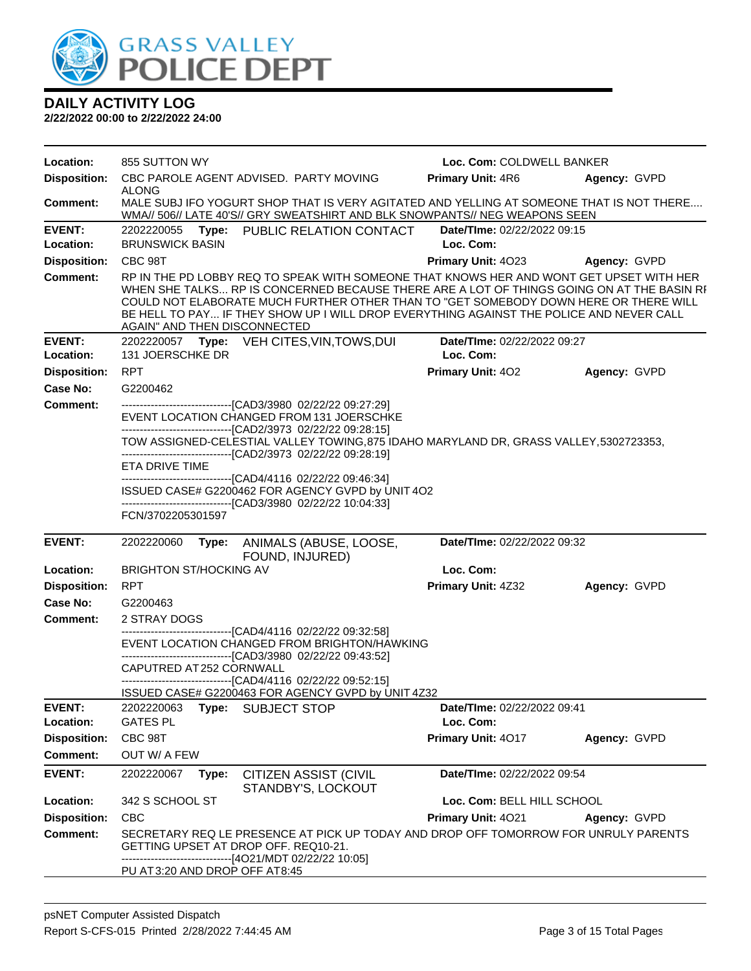

|  |  |  | <b>DAILY ACTIVITY LOG</b> |  |
|--|--|--|---------------------------|--|
|  |  |  |                           |  |

| <b>Disposition:</b><br>CBC PAROLE AGENT ADVISED. PARTY MOVING<br><b>Primary Unit: 4R6</b><br>Agency: GVPD<br><b>ALONG</b><br>MALE SUBJ IFO YOGURT SHOP THAT IS VERY AGITATED AND YELLING AT SOMEONE THAT IS NOT THERE<br>Comment:<br>WMA// 506// LATE 40'S// GRY SWEATSHIRT AND BLK SNOWPANTS// NEG WEAPONS SEEN<br><b>EVENT:</b><br>2202220055<br>PUBLIC RELATION CONTACT<br>Date/TIme: 02/22/2022 09:15<br>Type:<br><b>BRUNSWICK BASIN</b><br>Loc. Com:<br>Location:<br><b>Disposition:</b><br>CBC 98T<br>Primary Unit: 4023<br>Agency: GVPD<br><b>Comment:</b><br>RP IN THE PD LOBBY REQ TO SPEAK WITH SOMEONE THAT KNOWS HER AND WONT GET UPSET WITH HER<br>WHEN SHE TALKS RP IS CONCERNED BECAUSE THERE ARE A LOT OF THINGS GOING ON AT THE BASIN RI<br>COULD NOT ELABORATE MUCH FURTHER OTHER THAN TO "GET SOMEBODY DOWN HERE OR THERE WILL<br>BE HELL TO PAY IF THEY SHOW UP I WILL DROP EVERYTHING AGAINST THE POLICE AND NEVER CALL<br>AGAIN" AND THEN DISCONNECTED<br><b>EVENT:</b><br>2202220057 Type: VEH CITES, VIN, TOWS, DUI<br>Date/TIme: 02/22/2022 09:27<br>Location:<br>131 JOERSCHKE DR<br>Loc. Com:<br><b>Disposition:</b><br><b>RPT</b><br><b>Primary Unit: 402</b><br>Agency: GVPD<br>Case No:<br>G2200462<br>----------------------------------[CAD3/3980 02/22/22 09:27:29]<br><b>Comment:</b><br>EVENT LOCATION CHANGED FROM 131 JOERSCHKE<br>--------------------------------[CAD2/3973 02/22/22 09:28:15]<br>TOW ASSIGNED-CELESTIAL VALLEY TOWING, 875 IDAHO MARYLAND DR, GRASS VALLEY, 5302723353,<br>----------------------------------[CAD2/3973 02/22/22 09:28:19]<br>ETA DRIVE TIME<br>------------------------------[CAD4/4116 02/22/22 09:46:34]<br>ISSUED CASE# G2200462 FOR AGENCY GVPD by UNIT 4O2<br>--------------------------------[CAD3/3980 02/22/22 10:04:33]<br>FCN/3702205301597<br><b>EVENT:</b><br>Date/TIme: 02/22/2022 09:32<br>2202220060<br>Type:<br>ANIMALS (ABUSE, LOOSE,<br>FOUND, INJURED)<br><b>BRIGHTON ST/HOCKING AV</b><br>Loc. Com:<br>Location:<br>Primary Unit: 4Z32<br><b>Disposition:</b><br><b>RPT</b><br>Agency: GVPD<br>Case No:<br>G2200463<br><b>Comment:</b><br>2 STRAY DOGS<br>-------------------------------[CAD4/4116 02/22/22 09:32:58]<br>EVENT LOCATION CHANGED FROM BRIGHTON/HAWKING<br>-------------------------------[CAD3/3980 02/22/22 09:43:52]<br>CAPUTRED AT 252 CORNWALL<br>-------------------------------[CAD4/4116 02/22/22 09:52:15]<br>ISSUED CASE# G2200463 FOR AGENCY GVPD by UNIT 4Z32<br><b>EVENT:</b><br>2202220063<br>Type:<br><b>SUBJECT STOP</b><br>Date/TIme: 02/22/2022 09:41<br><b>GATES PL</b><br>Location:<br>Loc. Com:<br>CBC 98T<br><b>Disposition:</b><br>Primary Unit: 4017<br>Agency: GVPD<br>OUT W/ A FEW<br>Comment:<br><b>EVENT:</b><br><b>CITIZEN ASSIST (CIVIL</b><br>Date/TIme: 02/22/2022 09:54<br>2202220067<br>Type:<br>STANDBY'S, LOCKOUT<br>Location:<br>342 S SCHOOL ST<br>Loc. Com: BELL HILL SCHOOL<br><b>Disposition:</b><br><b>CBC</b><br>Primary Unit: 4021<br>Agency: GVPD<br><b>Comment:</b><br>SECRETARY REQ LE PRESENCE AT PICK UP TODAY AND DROP OFF TOMORROW FOR UNRULY PARENTS<br>GETTING UPSET AT DROP OFF. REQ10-21.<br>-------------------[4O21/MDT 02/22/22 10:05]<br>PU AT3:20 AND DROP OFF AT8:45 | Location: | 855 SUTTON WY |  | Loc. Com: COLDWELL BANKER |  |  |
|-----------------------------------------------------------------------------------------------------------------------------------------------------------------------------------------------------------------------------------------------------------------------------------------------------------------------------------------------------------------------------------------------------------------------------------------------------------------------------------------------------------------------------------------------------------------------------------------------------------------------------------------------------------------------------------------------------------------------------------------------------------------------------------------------------------------------------------------------------------------------------------------------------------------------------------------------------------------------------------------------------------------------------------------------------------------------------------------------------------------------------------------------------------------------------------------------------------------------------------------------------------------------------------------------------------------------------------------------------------------------------------------------------------------------------------------------------------------------------------------------------------------------------------------------------------------------------------------------------------------------------------------------------------------------------------------------------------------------------------------------------------------------------------------------------------------------------------------------------------------------------------------------------------------------------------------------------------------------------------------------------------------------------------------------------------------------------------------------------------------------------------------------------------------------------------------------------------------------------------------------------------------------------------------------------------------------------------------------------------------------------------------------------------------------------------------------------------------------------------------------------------------------------------------------------------------------------------------------------------------------------------------------------------------------------------------------------------------------------------------------------------------------------------------------------------------------------------------------------------------------------------------------------------------------------------------------------------------------------------------------------------------------------------------------------------------------------------------------------------------------------------------------------------------------------------------------------------------------------------------------|-----------|---------------|--|---------------------------|--|--|
|                                                                                                                                                                                                                                                                                                                                                                                                                                                                                                                                                                                                                                                                                                                                                                                                                                                                                                                                                                                                                                                                                                                                                                                                                                                                                                                                                                                                                                                                                                                                                                                                                                                                                                                                                                                                                                                                                                                                                                                                                                                                                                                                                                                                                                                                                                                                                                                                                                                                                                                                                                                                                                                                                                                                                                                                                                                                                                                                                                                                                                                                                                                                                                                                                                               |           |               |  |                           |  |  |
|                                                                                                                                                                                                                                                                                                                                                                                                                                                                                                                                                                                                                                                                                                                                                                                                                                                                                                                                                                                                                                                                                                                                                                                                                                                                                                                                                                                                                                                                                                                                                                                                                                                                                                                                                                                                                                                                                                                                                                                                                                                                                                                                                                                                                                                                                                                                                                                                                                                                                                                                                                                                                                                                                                                                                                                                                                                                                                                                                                                                                                                                                                                                                                                                                                               |           |               |  |                           |  |  |
|                                                                                                                                                                                                                                                                                                                                                                                                                                                                                                                                                                                                                                                                                                                                                                                                                                                                                                                                                                                                                                                                                                                                                                                                                                                                                                                                                                                                                                                                                                                                                                                                                                                                                                                                                                                                                                                                                                                                                                                                                                                                                                                                                                                                                                                                                                                                                                                                                                                                                                                                                                                                                                                                                                                                                                                                                                                                                                                                                                                                                                                                                                                                                                                                                                               |           |               |  |                           |  |  |
|                                                                                                                                                                                                                                                                                                                                                                                                                                                                                                                                                                                                                                                                                                                                                                                                                                                                                                                                                                                                                                                                                                                                                                                                                                                                                                                                                                                                                                                                                                                                                                                                                                                                                                                                                                                                                                                                                                                                                                                                                                                                                                                                                                                                                                                                                                                                                                                                                                                                                                                                                                                                                                                                                                                                                                                                                                                                                                                                                                                                                                                                                                                                                                                                                                               |           |               |  |                           |  |  |
|                                                                                                                                                                                                                                                                                                                                                                                                                                                                                                                                                                                                                                                                                                                                                                                                                                                                                                                                                                                                                                                                                                                                                                                                                                                                                                                                                                                                                                                                                                                                                                                                                                                                                                                                                                                                                                                                                                                                                                                                                                                                                                                                                                                                                                                                                                                                                                                                                                                                                                                                                                                                                                                                                                                                                                                                                                                                                                                                                                                                                                                                                                                                                                                                                                               |           |               |  |                           |  |  |
|                                                                                                                                                                                                                                                                                                                                                                                                                                                                                                                                                                                                                                                                                                                                                                                                                                                                                                                                                                                                                                                                                                                                                                                                                                                                                                                                                                                                                                                                                                                                                                                                                                                                                                                                                                                                                                                                                                                                                                                                                                                                                                                                                                                                                                                                                                                                                                                                                                                                                                                                                                                                                                                                                                                                                                                                                                                                                                                                                                                                                                                                                                                                                                                                                                               |           |               |  |                           |  |  |
|                                                                                                                                                                                                                                                                                                                                                                                                                                                                                                                                                                                                                                                                                                                                                                                                                                                                                                                                                                                                                                                                                                                                                                                                                                                                                                                                                                                                                                                                                                                                                                                                                                                                                                                                                                                                                                                                                                                                                                                                                                                                                                                                                                                                                                                                                                                                                                                                                                                                                                                                                                                                                                                                                                                                                                                                                                                                                                                                                                                                                                                                                                                                                                                                                                               |           |               |  |                           |  |  |
|                                                                                                                                                                                                                                                                                                                                                                                                                                                                                                                                                                                                                                                                                                                                                                                                                                                                                                                                                                                                                                                                                                                                                                                                                                                                                                                                                                                                                                                                                                                                                                                                                                                                                                                                                                                                                                                                                                                                                                                                                                                                                                                                                                                                                                                                                                                                                                                                                                                                                                                                                                                                                                                                                                                                                                                                                                                                                                                                                                                                                                                                                                                                                                                                                                               |           |               |  |                           |  |  |
|                                                                                                                                                                                                                                                                                                                                                                                                                                                                                                                                                                                                                                                                                                                                                                                                                                                                                                                                                                                                                                                                                                                                                                                                                                                                                                                                                                                                                                                                                                                                                                                                                                                                                                                                                                                                                                                                                                                                                                                                                                                                                                                                                                                                                                                                                                                                                                                                                                                                                                                                                                                                                                                                                                                                                                                                                                                                                                                                                                                                                                                                                                                                                                                                                                               |           |               |  |                           |  |  |
|                                                                                                                                                                                                                                                                                                                                                                                                                                                                                                                                                                                                                                                                                                                                                                                                                                                                                                                                                                                                                                                                                                                                                                                                                                                                                                                                                                                                                                                                                                                                                                                                                                                                                                                                                                                                                                                                                                                                                                                                                                                                                                                                                                                                                                                                                                                                                                                                                                                                                                                                                                                                                                                                                                                                                                                                                                                                                                                                                                                                                                                                                                                                                                                                                                               |           |               |  |                           |  |  |
|                                                                                                                                                                                                                                                                                                                                                                                                                                                                                                                                                                                                                                                                                                                                                                                                                                                                                                                                                                                                                                                                                                                                                                                                                                                                                                                                                                                                                                                                                                                                                                                                                                                                                                                                                                                                                                                                                                                                                                                                                                                                                                                                                                                                                                                                                                                                                                                                                                                                                                                                                                                                                                                                                                                                                                                                                                                                                                                                                                                                                                                                                                                                                                                                                                               |           |               |  |                           |  |  |
|                                                                                                                                                                                                                                                                                                                                                                                                                                                                                                                                                                                                                                                                                                                                                                                                                                                                                                                                                                                                                                                                                                                                                                                                                                                                                                                                                                                                                                                                                                                                                                                                                                                                                                                                                                                                                                                                                                                                                                                                                                                                                                                                                                                                                                                                                                                                                                                                                                                                                                                                                                                                                                                                                                                                                                                                                                                                                                                                                                                                                                                                                                                                                                                                                                               |           |               |  |                           |  |  |
|                                                                                                                                                                                                                                                                                                                                                                                                                                                                                                                                                                                                                                                                                                                                                                                                                                                                                                                                                                                                                                                                                                                                                                                                                                                                                                                                                                                                                                                                                                                                                                                                                                                                                                                                                                                                                                                                                                                                                                                                                                                                                                                                                                                                                                                                                                                                                                                                                                                                                                                                                                                                                                                                                                                                                                                                                                                                                                                                                                                                                                                                                                                                                                                                                                               |           |               |  |                           |  |  |
|                                                                                                                                                                                                                                                                                                                                                                                                                                                                                                                                                                                                                                                                                                                                                                                                                                                                                                                                                                                                                                                                                                                                                                                                                                                                                                                                                                                                                                                                                                                                                                                                                                                                                                                                                                                                                                                                                                                                                                                                                                                                                                                                                                                                                                                                                                                                                                                                                                                                                                                                                                                                                                                                                                                                                                                                                                                                                                                                                                                                                                                                                                                                                                                                                                               |           |               |  |                           |  |  |
|                                                                                                                                                                                                                                                                                                                                                                                                                                                                                                                                                                                                                                                                                                                                                                                                                                                                                                                                                                                                                                                                                                                                                                                                                                                                                                                                                                                                                                                                                                                                                                                                                                                                                                                                                                                                                                                                                                                                                                                                                                                                                                                                                                                                                                                                                                                                                                                                                                                                                                                                                                                                                                                                                                                                                                                                                                                                                                                                                                                                                                                                                                                                                                                                                                               |           |               |  |                           |  |  |
|                                                                                                                                                                                                                                                                                                                                                                                                                                                                                                                                                                                                                                                                                                                                                                                                                                                                                                                                                                                                                                                                                                                                                                                                                                                                                                                                                                                                                                                                                                                                                                                                                                                                                                                                                                                                                                                                                                                                                                                                                                                                                                                                                                                                                                                                                                                                                                                                                                                                                                                                                                                                                                                                                                                                                                                                                                                                                                                                                                                                                                                                                                                                                                                                                                               |           |               |  |                           |  |  |
|                                                                                                                                                                                                                                                                                                                                                                                                                                                                                                                                                                                                                                                                                                                                                                                                                                                                                                                                                                                                                                                                                                                                                                                                                                                                                                                                                                                                                                                                                                                                                                                                                                                                                                                                                                                                                                                                                                                                                                                                                                                                                                                                                                                                                                                                                                                                                                                                                                                                                                                                                                                                                                                                                                                                                                                                                                                                                                                                                                                                                                                                                                                                                                                                                                               |           |               |  |                           |  |  |
|                                                                                                                                                                                                                                                                                                                                                                                                                                                                                                                                                                                                                                                                                                                                                                                                                                                                                                                                                                                                                                                                                                                                                                                                                                                                                                                                                                                                                                                                                                                                                                                                                                                                                                                                                                                                                                                                                                                                                                                                                                                                                                                                                                                                                                                                                                                                                                                                                                                                                                                                                                                                                                                                                                                                                                                                                                                                                                                                                                                                                                                                                                                                                                                                                                               |           |               |  |                           |  |  |
|                                                                                                                                                                                                                                                                                                                                                                                                                                                                                                                                                                                                                                                                                                                                                                                                                                                                                                                                                                                                                                                                                                                                                                                                                                                                                                                                                                                                                                                                                                                                                                                                                                                                                                                                                                                                                                                                                                                                                                                                                                                                                                                                                                                                                                                                                                                                                                                                                                                                                                                                                                                                                                                                                                                                                                                                                                                                                                                                                                                                                                                                                                                                                                                                                                               |           |               |  |                           |  |  |
|                                                                                                                                                                                                                                                                                                                                                                                                                                                                                                                                                                                                                                                                                                                                                                                                                                                                                                                                                                                                                                                                                                                                                                                                                                                                                                                                                                                                                                                                                                                                                                                                                                                                                                                                                                                                                                                                                                                                                                                                                                                                                                                                                                                                                                                                                                                                                                                                                                                                                                                                                                                                                                                                                                                                                                                                                                                                                                                                                                                                                                                                                                                                                                                                                                               |           |               |  |                           |  |  |
|                                                                                                                                                                                                                                                                                                                                                                                                                                                                                                                                                                                                                                                                                                                                                                                                                                                                                                                                                                                                                                                                                                                                                                                                                                                                                                                                                                                                                                                                                                                                                                                                                                                                                                                                                                                                                                                                                                                                                                                                                                                                                                                                                                                                                                                                                                                                                                                                                                                                                                                                                                                                                                                                                                                                                                                                                                                                                                                                                                                                                                                                                                                                                                                                                                               |           |               |  |                           |  |  |
|                                                                                                                                                                                                                                                                                                                                                                                                                                                                                                                                                                                                                                                                                                                                                                                                                                                                                                                                                                                                                                                                                                                                                                                                                                                                                                                                                                                                                                                                                                                                                                                                                                                                                                                                                                                                                                                                                                                                                                                                                                                                                                                                                                                                                                                                                                                                                                                                                                                                                                                                                                                                                                                                                                                                                                                                                                                                                                                                                                                                                                                                                                                                                                                                                                               |           |               |  |                           |  |  |
|                                                                                                                                                                                                                                                                                                                                                                                                                                                                                                                                                                                                                                                                                                                                                                                                                                                                                                                                                                                                                                                                                                                                                                                                                                                                                                                                                                                                                                                                                                                                                                                                                                                                                                                                                                                                                                                                                                                                                                                                                                                                                                                                                                                                                                                                                                                                                                                                                                                                                                                                                                                                                                                                                                                                                                                                                                                                                                                                                                                                                                                                                                                                                                                                                                               |           |               |  |                           |  |  |
|                                                                                                                                                                                                                                                                                                                                                                                                                                                                                                                                                                                                                                                                                                                                                                                                                                                                                                                                                                                                                                                                                                                                                                                                                                                                                                                                                                                                                                                                                                                                                                                                                                                                                                                                                                                                                                                                                                                                                                                                                                                                                                                                                                                                                                                                                                                                                                                                                                                                                                                                                                                                                                                                                                                                                                                                                                                                                                                                                                                                                                                                                                                                                                                                                                               |           |               |  |                           |  |  |
|                                                                                                                                                                                                                                                                                                                                                                                                                                                                                                                                                                                                                                                                                                                                                                                                                                                                                                                                                                                                                                                                                                                                                                                                                                                                                                                                                                                                                                                                                                                                                                                                                                                                                                                                                                                                                                                                                                                                                                                                                                                                                                                                                                                                                                                                                                                                                                                                                                                                                                                                                                                                                                                                                                                                                                                                                                                                                                                                                                                                                                                                                                                                                                                                                                               |           |               |  |                           |  |  |
|                                                                                                                                                                                                                                                                                                                                                                                                                                                                                                                                                                                                                                                                                                                                                                                                                                                                                                                                                                                                                                                                                                                                                                                                                                                                                                                                                                                                                                                                                                                                                                                                                                                                                                                                                                                                                                                                                                                                                                                                                                                                                                                                                                                                                                                                                                                                                                                                                                                                                                                                                                                                                                                                                                                                                                                                                                                                                                                                                                                                                                                                                                                                                                                                                                               |           |               |  |                           |  |  |
|                                                                                                                                                                                                                                                                                                                                                                                                                                                                                                                                                                                                                                                                                                                                                                                                                                                                                                                                                                                                                                                                                                                                                                                                                                                                                                                                                                                                                                                                                                                                                                                                                                                                                                                                                                                                                                                                                                                                                                                                                                                                                                                                                                                                                                                                                                                                                                                                                                                                                                                                                                                                                                                                                                                                                                                                                                                                                                                                                                                                                                                                                                                                                                                                                                               |           |               |  |                           |  |  |
|                                                                                                                                                                                                                                                                                                                                                                                                                                                                                                                                                                                                                                                                                                                                                                                                                                                                                                                                                                                                                                                                                                                                                                                                                                                                                                                                                                                                                                                                                                                                                                                                                                                                                                                                                                                                                                                                                                                                                                                                                                                                                                                                                                                                                                                                                                                                                                                                                                                                                                                                                                                                                                                                                                                                                                                                                                                                                                                                                                                                                                                                                                                                                                                                                                               |           |               |  |                           |  |  |
|                                                                                                                                                                                                                                                                                                                                                                                                                                                                                                                                                                                                                                                                                                                                                                                                                                                                                                                                                                                                                                                                                                                                                                                                                                                                                                                                                                                                                                                                                                                                                                                                                                                                                                                                                                                                                                                                                                                                                                                                                                                                                                                                                                                                                                                                                                                                                                                                                                                                                                                                                                                                                                                                                                                                                                                                                                                                                                                                                                                                                                                                                                                                                                                                                                               |           |               |  |                           |  |  |
|                                                                                                                                                                                                                                                                                                                                                                                                                                                                                                                                                                                                                                                                                                                                                                                                                                                                                                                                                                                                                                                                                                                                                                                                                                                                                                                                                                                                                                                                                                                                                                                                                                                                                                                                                                                                                                                                                                                                                                                                                                                                                                                                                                                                                                                                                                                                                                                                                                                                                                                                                                                                                                                                                                                                                                                                                                                                                                                                                                                                                                                                                                                                                                                                                                               |           |               |  |                           |  |  |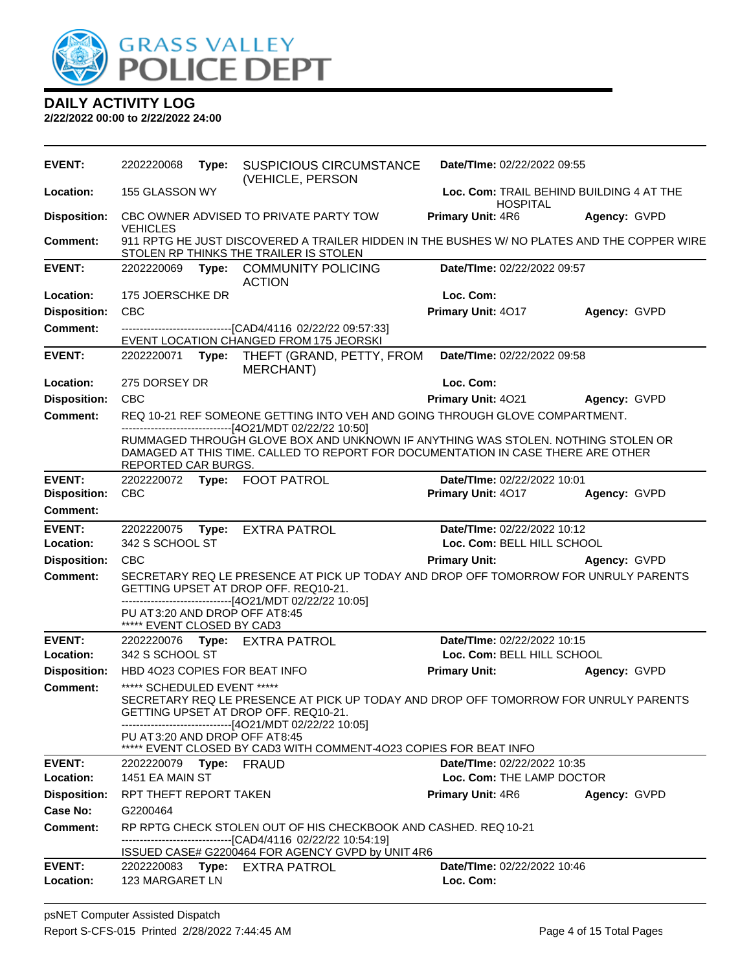

| <b>EVENT:</b>       | 2202220068                                                    | Type: | <b>SUSPICIOUS CIRCUMSTANCE</b><br>(VEHICLE, PERSON                                                                                                                                                                               | Date/TIme: 02/22/2022 09:55                                 |                     |
|---------------------|---------------------------------------------------------------|-------|----------------------------------------------------------------------------------------------------------------------------------------------------------------------------------------------------------------------------------|-------------------------------------------------------------|---------------------|
| Location:           | 155 GLASSON WY                                                |       |                                                                                                                                                                                                                                  | Loc. Com: TRAIL BEHIND BUILDING 4 AT THE<br><b>HOSPITAL</b> |                     |
| <b>Disposition:</b> | <b>VEHICLES</b>                                               |       | CBC OWNER ADVISED TO PRIVATE PARTY TOW                                                                                                                                                                                           | <b>Primary Unit: 4R6</b>                                    | Agency: GVPD        |
| Comment:            |                                                               |       | 911 RPTG HE JUST DISCOVERED A TRAILER HIDDEN IN THE BUSHES W/ NO PLATES AND THE COPPER WIRE<br>STOLEN RP THINKS THE TRAILER IS STOLEN                                                                                            |                                                             |                     |
| <b>EVENT:</b>       | 2202220069                                                    |       | Type: COMMUNITY POLICING<br><b>ACTION</b>                                                                                                                                                                                        | Date/TIme: 02/22/2022 09:57                                 |                     |
| Location:           | 175 JOERSCHKE DR                                              |       |                                                                                                                                                                                                                                  | Loc. Com:                                                   |                     |
| <b>Disposition:</b> | CBC                                                           |       |                                                                                                                                                                                                                                  | Primary Unit: 4017                                          | Agency: GVPD        |
| Comment:            |                                                               |       | -----------------------------------[CAD4/4116 02/22/22 09:57:33]<br>EVENT LOCATION CHANGED FROM 175 JEORSKI                                                                                                                      |                                                             |                     |
| <b>EVENT:</b>       |                                                               |       | 2202220071 Type: THEFT (GRAND, PETTY, FROM<br><b>MERCHANT)</b>                                                                                                                                                                   | Date/TIme: 02/22/2022 09:58                                 |                     |
| Location:           | 275 DORSEY DR                                                 |       |                                                                                                                                                                                                                                  | Loc. Com:                                                   |                     |
| <b>Disposition:</b> | <b>CBC</b>                                                    |       |                                                                                                                                                                                                                                  | Primary Unit: 4021                                          | <b>Agency: GVPD</b> |
| <b>Comment:</b>     |                                                               |       | REQ 10-21 REF SOMEONE GETTING INTO VEH AND GOING THROUGH GLOVE COMPARTMENT.                                                                                                                                                      |                                                             |                     |
|                     | REPORTED CAR BURGS.                                           |       | -------------------------------[4O21/MDT 02/22/22 10:50]<br>RUMMAGED THROUGH GLOVE BOX AND UNKNOWN IF ANYTHING WAS STOLEN. NOTHING STOLEN OR<br>DAMAGED AT THIS TIME. CALLED TO REPORT FOR DOCUMENTATION IN CASE THERE ARE OTHER |                                                             |                     |
| <b>EVENT:</b>       | 2202220072                                                    |       | Type: FOOT PATROL                                                                                                                                                                                                                | Date/TIme: 02/22/2022 10:01                                 |                     |
| <b>Disposition:</b> | <b>CBC</b>                                                    |       |                                                                                                                                                                                                                                  | Primary Unit: 4017                                          | Agency: GVPD        |
| <b>Comment:</b>     |                                                               |       |                                                                                                                                                                                                                                  |                                                             |                     |
|                     |                                                               |       |                                                                                                                                                                                                                                  |                                                             |                     |
| <b>EVENT:</b>       | 2202220075                                                    |       | Type: EXTRA PATROL                                                                                                                                                                                                               | Date/TIme: 02/22/2022 10:12                                 |                     |
| Location:           | 342 S SCHOOL ST                                               |       |                                                                                                                                                                                                                                  | Loc. Com: BELL HILL SCHOOL                                  |                     |
| <b>Disposition:</b> | <b>CBC</b>                                                    |       |                                                                                                                                                                                                                                  | <b>Primary Unit:</b>                                        | Agency: GVPD        |
| <b>Comment:</b>     |                                                               |       | SECRETARY REQ LE PRESENCE AT PICK UP TODAY AND DROP OFF TOMORROW FOR UNRULY PARENTS<br>GETTING UPSET AT DROP OFF. REQ10-21.                                                                                                      |                                                             |                     |
|                     | PU AT 3:20 AND DROP OFF AT 8:45<br>***** EVENT CLOSED BY CAD3 |       | -------------------------------[4O21/MDT 02/22/22 10:05]                                                                                                                                                                         |                                                             |                     |
| <b>EVENT:</b>       |                                                               |       | 2202220076 Type: EXTRA PATROL                                                                                                                                                                                                    | Date/TIme: 02/22/2022 10:15                                 |                     |
| Location:           | 342 S SCHOOL ST                                               |       |                                                                                                                                                                                                                                  | Loc. Com: BELL HILL SCHOOL                                  |                     |
| <b>Disposition:</b> |                                                               |       | HBD 4023 COPIES FOR BEAT INFO                                                                                                                                                                                                    | <b>Primary Unit:</b>                                        | Agency: GVPD        |
| <b>Comment:</b>     | ***** SCHEDULED EVENT *****                                   |       | SECRETARY REQ LE PRESENCE AT PICK UP TODAY AND DROP OFF TOMORROW FOR UNRULY PARENTS<br>GETTING UPSET AT DROP OFF. REQ10-21.                                                                                                      |                                                             |                     |
|                     | PU AT 3:20 AND DROP OFF AT 8:45                               |       | ------------------------[4O21/MDT 02/22/22 10:05]<br>EVENT CLOSED BY CAD3 WITH COMMENT-4023 COPIES FOR BEAT INFO                                                                                                                 |                                                             |                     |
| <b>EVENT:</b>       | 2202220079 Type: FRAUD                                        |       |                                                                                                                                                                                                                                  | Date/TIme: 02/22/2022 10:35                                 |                     |
| Location:           | 1451 EA MAIN ST                                               |       |                                                                                                                                                                                                                                  | Loc. Com: THE LAMP DOCTOR                                   |                     |
| <b>Disposition:</b> | RPT THEFT REPORT TAKEN                                        |       |                                                                                                                                                                                                                                  | <b>Primary Unit: 4R6</b>                                    | Agency: GVPD        |
| Case No:            | G2200464                                                      |       |                                                                                                                                                                                                                                  |                                                             |                     |
| <b>Comment:</b>     |                                                               |       | RP RPTG CHECK STOLEN OUT OF HIS CHECKBOOK AND CASHED. REQ 10-21<br>------------------------------[CAD4/4116 02/22/22 10:54:19]                                                                                                   |                                                             |                     |
| <b>EVENT:</b>       |                                                               |       | ISSUED CASE# G2200464 FOR AGENCY GVPD by UNIT 4R6<br>2202220083 Type: EXTRA PATROL                                                                                                                                               | Date/TIme: 02/22/2022 10:46                                 |                     |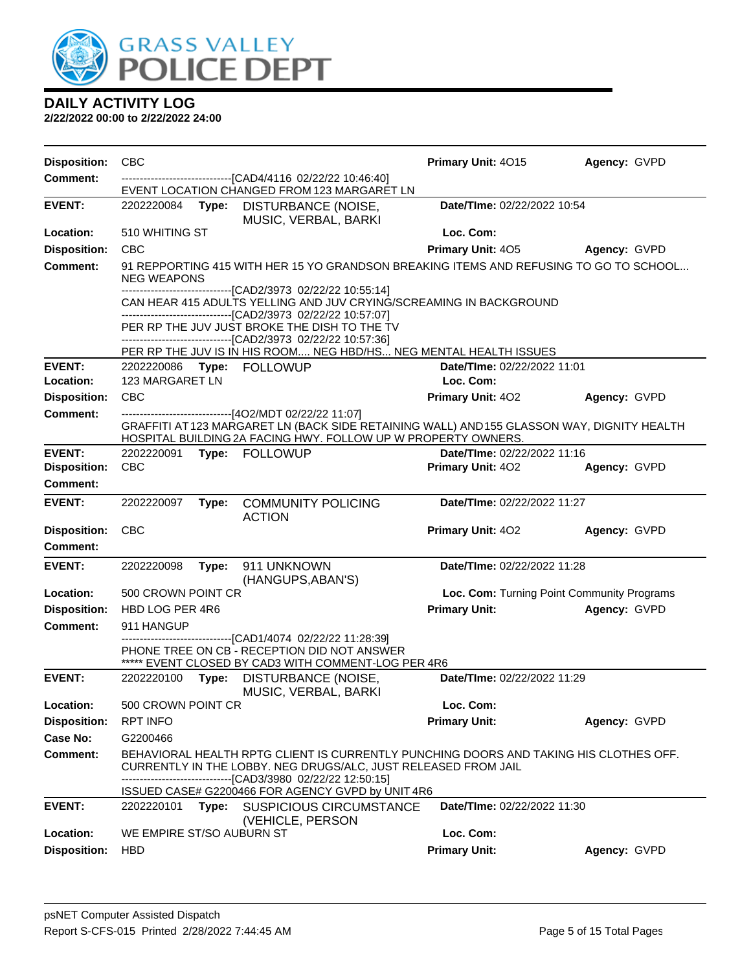

| <b>Disposition:</b> | <b>CBC</b>                |       |                                                                                                                                                                                                                                                                     | Primary Unit: 4015          | Agency: GVPD                               |
|---------------------|---------------------------|-------|---------------------------------------------------------------------------------------------------------------------------------------------------------------------------------------------------------------------------------------------------------------------|-----------------------------|--------------------------------------------|
| <b>Comment:</b>     |                           |       | -------------------------------[CAD4/4116 02/22/22 10:46:40]                                                                                                                                                                                                        |                             |                                            |
| <b>EVENT:</b>       |                           |       | EVENT LOCATION CHANGED FROM 123 MARGARET LN<br>2202220084 Type: DISTURBANCE (NOISE,<br>MUSIC, VERBAL, BARKI                                                                                                                                                         | Date/TIme: 02/22/2022 10:54 |                                            |
| Location:           | 510 WHITING ST            |       |                                                                                                                                                                                                                                                                     | Loc. Com:                   |                                            |
| <b>Disposition:</b> | <b>CBC</b>                |       |                                                                                                                                                                                                                                                                     | <b>Primary Unit: 405</b>    | Agency: GVPD                               |
| <b>Comment:</b>     | <b>NEG WEAPONS</b>        |       | 91 REPPORTING 415 WITH HER 15 YO GRANDSON BREAKING ITEMS AND REFUSING TO GO TO SCHOOL                                                                                                                                                                               |                             |                                            |
|                     |                           |       | -------------------------------[CAD2/3973 02/22/22 10:55:14]<br>CAN HEAR 415 ADULTS YELLING AND JUV CRYING/SCREAMING IN BACKGROUND<br>-------------------------------[CAD2/3973 02/22/22 10:57:07]                                                                  |                             |                                            |
|                     |                           |       | PER RP THE JUV JUST BROKE THE DISH TO THE TV<br>--------------------------------[CAD2/3973 02/22/22 10:57:36]                                                                                                                                                       |                             |                                            |
|                     |                           |       | PER RP THE JUV IS IN HIS ROOM NEG HBD/HS NEG MENTAL HEALTH ISSUES                                                                                                                                                                                                   |                             |                                            |
| <b>EVENT:</b>       |                           |       | 2202220086 Type: FOLLOWUP                                                                                                                                                                                                                                           | Date/TIme: 02/22/2022 11:01 |                                            |
| Location:           | 123 MARGARET LN           |       |                                                                                                                                                                                                                                                                     | Loc. Com:                   |                                            |
| <b>Disposition:</b> | <b>CBC</b>                |       |                                                                                                                                                                                                                                                                     | <b>Primary Unit: 402</b>    | Agency: GVPD                               |
| Comment:            |                           |       | --------------------------------[4O2/MDT 02/22/22 11:07]<br>GRAFFITI AT 123 MARGARET LN (BACK SIDE RETAINING WALL) AND 155 GLASSON WAY, DIGNITY HEALTH<br>HOSPITAL BUILDING 2A FACING HWY. FOLLOW UP W PROPERTY OWNERS.                                             |                             |                                            |
| <b>EVENT:</b>       | 2202220091                |       | Type: FOLLOWUP                                                                                                                                                                                                                                                      | Date/Time: 02/22/2022 11:16 |                                            |
| <b>Disposition:</b> | <b>CBC</b>                |       |                                                                                                                                                                                                                                                                     | <b>Primary Unit: 402</b>    | Agency: GVPD                               |
| <b>Comment:</b>     |                           |       |                                                                                                                                                                                                                                                                     |                             |                                            |
| <b>EVENT:</b>       | 2202220097                | Type: | <b>COMMUNITY POLICING</b><br><b>ACTION</b>                                                                                                                                                                                                                          | Date/TIme: 02/22/2022 11:27 |                                            |
| <b>Disposition:</b> | <b>CBC</b>                |       |                                                                                                                                                                                                                                                                     | <b>Primary Unit: 402</b>    | Agency: GVPD                               |
| Comment:            |                           |       |                                                                                                                                                                                                                                                                     |                             |                                            |
| <b>EVENT:</b>       | 2202220098                | Type: | 911 UNKNOWN<br>(HANGUPS, ABAN'S)                                                                                                                                                                                                                                    | Date/TIme: 02/22/2022 11:28 |                                            |
| Location:           | 500 CROWN POINT CR        |       |                                                                                                                                                                                                                                                                     |                             | Loc. Com: Turning Point Community Programs |
| <b>Disposition:</b> | HBD LOG PER 4R6           |       |                                                                                                                                                                                                                                                                     | <b>Primary Unit:</b>        | Agency: GVPD                               |
| <b>Comment:</b>     | 911 HANGUP                |       |                                                                                                                                                                                                                                                                     |                             |                                            |
|                     |                           |       | ----------------[CAD1/4074_02/22/22 11:28:39]<br>PHONE TREE ON CB - RECEPTION DID NOT ANSWER<br>***** EVENT CLOSED BY CAD3 WITH COMMENT-LOG PER 4R6                                                                                                                 |                             |                                            |
| <b>EVENT:</b>       | 2202220100                |       | Type: DISTURBANCE (NOISE,<br>MUSIC, VERBAL, BARKI                                                                                                                                                                                                                   | Date/TIme: 02/22/2022 11:29 |                                            |
| Location:           | 500 CROWN POINT CR        |       |                                                                                                                                                                                                                                                                     | Loc. Com:                   |                                            |
| <b>Disposition:</b> | <b>RPT INFO</b>           |       |                                                                                                                                                                                                                                                                     | <b>Primary Unit:</b>        | Agency: GVPD                               |
| <b>Case No:</b>     | G2200466                  |       |                                                                                                                                                                                                                                                                     |                             |                                            |
| <b>Comment:</b>     |                           |       | BEHAVIORAL HEALTH RPTG CLIENT IS CURRENTLY PUNCHING DOORS AND TAKING HIS CLOTHES OFF.<br>CURRENTLY IN THE LOBBY. NEG DRUGS/ALC, JUST RELEASED FROM JAIL<br>----------------------[CAD3/3980_02/22/22 12:50:15]<br>ISSUED CASE# G2200466 FOR AGENCY GVPD by UNIT 4R6 |                             |                                            |
| <b>EVENT:</b>       | 2202220101                | Type: | <b>SUSPICIOUS CIRCUMSTANCE</b><br>(VEHICLE, PERSON                                                                                                                                                                                                                  | Date/TIme: 02/22/2022 11:30 |                                            |
| Location:           | WE EMPIRE ST/SO AUBURN ST |       |                                                                                                                                                                                                                                                                     | Loc. Com:                   |                                            |
| <b>Disposition:</b> | <b>HBD</b>                |       |                                                                                                                                                                                                                                                                     | <b>Primary Unit:</b>        | Agency: GVPD                               |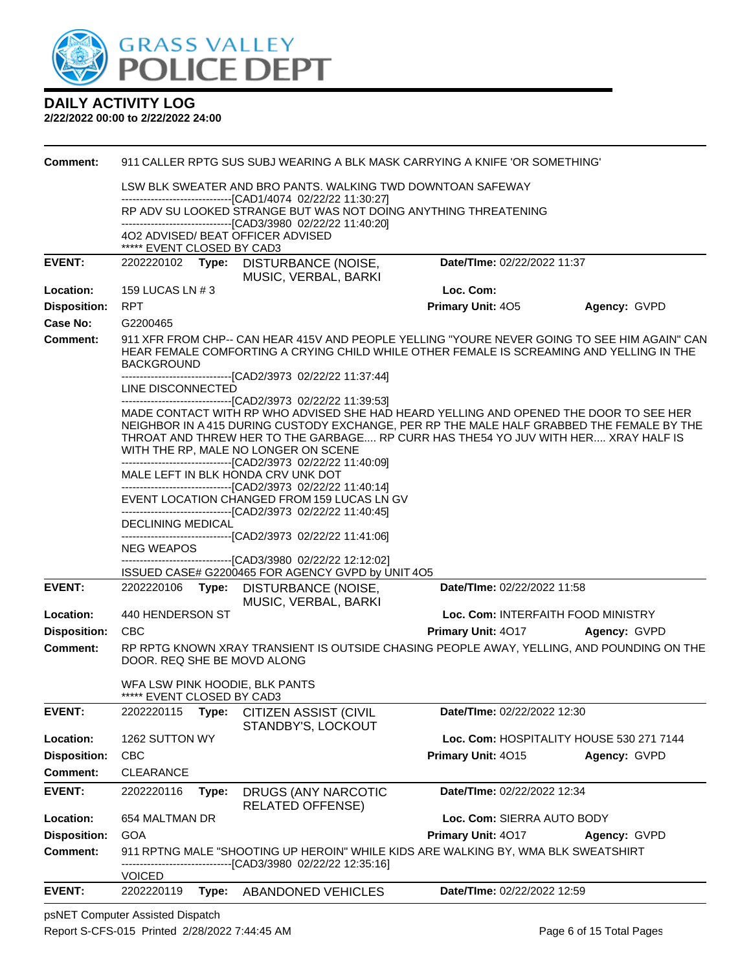

#### **2/22/2022 00:00 to 2/22/2022 24:00**

| <b>Comment:</b>     |                                    |       | 911 CALLER RPTG SUS SUBJ WEARING A BLK MASK CARRYING A KNIFE 'OR SOMETHING'                                                                                                                                                                                                                                                                                                                                                                      |                                    |                                          |
|---------------------|------------------------------------|-------|--------------------------------------------------------------------------------------------------------------------------------------------------------------------------------------------------------------------------------------------------------------------------------------------------------------------------------------------------------------------------------------------------------------------------------------------------|------------------------------------|------------------------------------------|
|                     |                                    |       | LSW BLK SWEATER AND BRO PANTS. WALKING TWD DOWNTOAN SAFEWAY<br>------------------------------[CAD1/4074 02/22/22 11:30:27]                                                                                                                                                                                                                                                                                                                       |                                    |                                          |
|                     |                                    |       | RP ADV SU LOOKED STRANGE BUT WAS NOT DOING ANYTHING THREATENING                                                                                                                                                                                                                                                                                                                                                                                  |                                    |                                          |
|                     | ***** EVENT CLOSED BY CAD3         |       | -------------------------------[CAD3/3980 02/22/22 11:40:20]<br>402 ADVISED/ BEAT OFFICER ADVISED                                                                                                                                                                                                                                                                                                                                                |                                    |                                          |
| <b>EVENT:</b>       |                                    |       | 2202220102 Type: DISTURBANCE (NOISE,<br>MUSIC, VERBAL, BARKI                                                                                                                                                                                                                                                                                                                                                                                     | Date/TIme: 02/22/2022 11:37        |                                          |
| Location:           | 159 LUCAS LN # 3                   |       |                                                                                                                                                                                                                                                                                                                                                                                                                                                  | Loc. Com:                          |                                          |
| <b>Disposition:</b> | <b>RPT</b>                         |       |                                                                                                                                                                                                                                                                                                                                                                                                                                                  | <b>Primary Unit: 405</b>           | Agency: GVPD                             |
| Case No:            | G2200465                           |       |                                                                                                                                                                                                                                                                                                                                                                                                                                                  |                                    |                                          |
| <b>Comment:</b>     | <b>BACKGROUND</b>                  |       | 911 XFR FROM CHP-- CAN HEAR 415V AND PEOPLE YELLING "YOURE NEVER GOING TO SEE HIM AGAIN" CAN<br>HEAR FEMALE COMFORTING A CRYING CHILD WHILE OTHER FEMALE IS SCREAMING AND YELLING IN THE                                                                                                                                                                                                                                                         |                                    |                                          |
|                     | LINE DISCONNECTED                  |       | ------------------------------[CAD2/3973 02/22/22 11:37:44]                                                                                                                                                                                                                                                                                                                                                                                      |                                    |                                          |
|                     |                                    |       | -------------------------------[CAD2/3973 02/22/22 11:39:53]<br>MADE CONTACT WITH RP WHO ADVISED SHE HAD HEARD YELLING AND OPENED THE DOOR TO SEE HER<br>NEIGHBOR IN A 415 DURING CUSTODY EXCHANGE, PER RP THE MALE HALF GRABBED THE FEMALE BY THE<br>THROAT AND THREW HER TO THE GARBAGE RP CURR HAS THE54 YO JUV WITH HER XRAY HALF IS<br>WITH THE RP, MALE NO LONGER ON SCENE<br>-------------------------------[CAD2/3973 02/22/22 11:40:09] |                                    |                                          |
|                     | MALE LEFT IN BLK HONDA CRV UNK DOT |       |                                                                                                                                                                                                                                                                                                                                                                                                                                                  |                                    |                                          |
|                     |                                    |       | --------------------------------[CAD2/3973 02/22/22 11:40:14]<br>EVENT LOCATION CHANGED FROM 159 LUCAS LN GV<br>-------------------------------[CAD2/3973 02/22/22 11:40:45]                                                                                                                                                                                                                                                                     |                                    |                                          |
|                     | DECLINING MEDICAL                  |       |                                                                                                                                                                                                                                                                                                                                                                                                                                                  |                                    |                                          |
|                     | <b>NEG WEAPOS</b>                  |       | ------------------------------[CAD2/3973 02/22/22 11:41:06]                                                                                                                                                                                                                                                                                                                                                                                      |                                    |                                          |
|                     |                                    |       | -------------------------------[CAD3/3980 02/22/22 12:12:02]                                                                                                                                                                                                                                                                                                                                                                                     |                                    |                                          |
| <b>EVENT:</b>       |                                    |       | ISSUED CASE# G2200465 FOR AGENCY GVPD by UNIT 4O5                                                                                                                                                                                                                                                                                                                                                                                                | Date/TIme: 02/22/2022 11:58        |                                          |
|                     |                                    |       | 2202220106 Type: DISTURBANCE (NOISE,<br>MUSIC, VERBAL, BARKI                                                                                                                                                                                                                                                                                                                                                                                     |                                    |                                          |
| Location:           | 440 HENDERSON ST                   |       |                                                                                                                                                                                                                                                                                                                                                                                                                                                  | Loc. Com: INTERFAITH FOOD MINISTRY |                                          |
| <b>Disposition:</b> | <b>CBC</b>                         |       |                                                                                                                                                                                                                                                                                                                                                                                                                                                  | <b>Primary Unit: 4017</b>          | Agency: GVPD                             |
| <b>Comment:</b>     |                                    |       | RP RPTG KNOWN XRAY TRANSIENT IS OUTSIDE CHASING PEOPLE AWAY, YELLING, AND POUNDING ON THE<br>DOOR. REQ SHE BE MOVD ALONG                                                                                                                                                                                                                                                                                                                         |                                    |                                          |
|                     | ***** EVENT CLOSED BY CAD3         |       | WFA LSW PINK HOODIE, BLK PANTS                                                                                                                                                                                                                                                                                                                                                                                                                   |                                    |                                          |
| <b>EVENT:</b>       | 2202220115                         | Type: | <b>CITIZEN ASSIST (CIVIL</b><br>STANDBY'S, LOCKOUT                                                                                                                                                                                                                                                                                                                                                                                               | Date/TIme: 02/22/2022 12:30        |                                          |
| Location:           | 1262 SUTTON WY                     |       |                                                                                                                                                                                                                                                                                                                                                                                                                                                  |                                    | Loc. Com: HOSPITALITY HOUSE 530 271 7144 |
| <b>Disposition:</b> | <b>CBC</b>                         |       |                                                                                                                                                                                                                                                                                                                                                                                                                                                  | Primary Unit: 4015                 | Agency: GVPD                             |
| <b>Comment:</b>     | <b>CLEARANCE</b>                   |       |                                                                                                                                                                                                                                                                                                                                                                                                                                                  |                                    |                                          |
| <b>EVENT:</b>       | 2202220116                         | Type: | DRUGS (ANY NARCOTIC<br><b>RELATED OFFENSE)</b>                                                                                                                                                                                                                                                                                                                                                                                                   | Date/TIme: 02/22/2022 12:34        |                                          |
| Location:           | 654 MALTMAN DR                     |       |                                                                                                                                                                                                                                                                                                                                                                                                                                                  | Loc. Com: SIERRA AUTO BODY         |                                          |
| <b>Disposition:</b> | <b>GOA</b>                         |       |                                                                                                                                                                                                                                                                                                                                                                                                                                                  | Primary Unit: 4017                 | Agency: GVPD                             |
| <b>Comment:</b>     |                                    |       | 911 RPTNG MALE "SHOOTING UP HEROIN" WHILE KIDS ARE WALKING BY, WMA BLK SWEATSHIRT<br>------------------[CAD3/3980_02/22/22 12:35:16]                                                                                                                                                                                                                                                                                                             |                                    |                                          |
|                     | <b>VOICED</b>                      |       |                                                                                                                                                                                                                                                                                                                                                                                                                                                  |                                    |                                          |
| <b>EVENT:</b>       | 2202220119                         | Type: | ABANDONED VEHICLES                                                                                                                                                                                                                                                                                                                                                                                                                               | Date/TIme: 02/22/2022 12:59        |                                          |

psNET Computer Assisted Dispatch Report S-CFS-015 Printed 2/28/2022 7:44:45 AM Page 6 of 15 Total Pages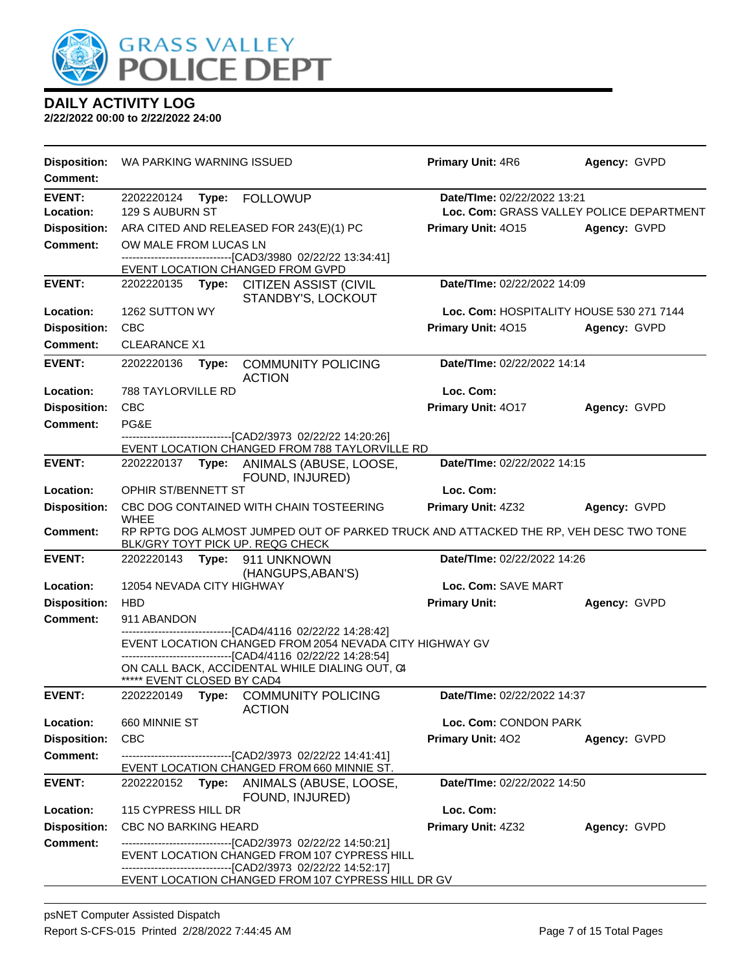

| <b>Disposition:</b>        | WA PARKING WARNING ISSUED              |                                                                                                                | <b>Primary Unit: 4R6</b>                 | Agency: GVPD                             |
|----------------------------|----------------------------------------|----------------------------------------------------------------------------------------------------------------|------------------------------------------|------------------------------------------|
| <b>Comment:</b>            |                                        |                                                                                                                |                                          |                                          |
| <b>EVENT:</b><br>Location: | 2202220124<br>Type:<br>129 S AUBURN ST | <b>FOLLOWUP</b>                                                                                                | Date/TIme: 02/22/2022 13:21              | Loc. Com: GRASS VALLEY POLICE DEPARTMENT |
| <b>Disposition:</b>        |                                        | ARA CITED AND RELEASED FOR 243(E)(1) PC                                                                        | Primary Unit: 4015                       | Agency: GVPD                             |
| <b>Comment:</b>            | OW MALE FROM LUCAS LN                  |                                                                                                                |                                          |                                          |
|                            |                                        | -------------------------[CAD3/3980_02/22/22 13:34:41]<br>EVENT LOCATION CHANGED FROM GVPD                     |                                          |                                          |
| <b>EVENT:</b>              | 2202220135                             | Type: CITIZEN ASSIST (CIVIL<br>STANDBY'S, LOCKOUT                                                              | Date/TIme: 02/22/2022 14:09              |                                          |
| Location:                  | 1262 SUTTON WY                         |                                                                                                                | Loc. Com: HOSPITALITY HOUSE 530 271 7144 |                                          |
| <b>Disposition:</b>        | <b>CBC</b>                             |                                                                                                                | Primary Unit: 4015                       | Agency: GVPD                             |
| <b>Comment:</b>            | <b>CLEARANCE X1</b>                    |                                                                                                                |                                          |                                          |
| <b>EVENT:</b>              | 2202220136<br>Type:                    | <b>COMMUNITY POLICING</b><br><b>ACTION</b>                                                                     | Date/TIme: 02/22/2022 14:14              |                                          |
| Location:                  | <b>788 TAYLORVILLE RD</b>              |                                                                                                                | Loc. Com:                                |                                          |
| <b>Disposition:</b>        | <b>CBC</b>                             |                                                                                                                | Primary Unit: 4017                       | Agency: GVPD                             |
| <b>Comment:</b>            | PG&E                                   | -------------------[CAD2/3973_02/22/22_14:20:26]                                                               |                                          |                                          |
|                            |                                        | EVENT LOCATION CHANGED FROM 788 TAYLORVILLE RD                                                                 |                                          |                                          |
| <b>EVENT:</b>              | 2202220137<br>Type:                    | ANIMALS (ABUSE, LOOSE,<br>FOUND, INJURED)                                                                      | Date/TIme: 02/22/2022 14:15              |                                          |
| Location:                  | OPHIR ST/BENNETT ST                    |                                                                                                                | Loc. Com:                                |                                          |
| <b>Disposition:</b>        | <b>WHEE</b>                            | CBC DOG CONTAINED WITH CHAIN TOSTEERING                                                                        | Primary Unit: 4Z32                       | Agency: GVPD                             |
| Comment:                   | BLK/GRY TOYT PICK UP. REQG CHECK       | RP RPTG DOG ALMOST JUMPED OUT OF PARKED TRUCK AND ATTACKED THE RP, VEH DESC TWO TONE                           |                                          |                                          |
| <b>EVENT:</b>              | 2202220143<br>Type:                    | 911 UNKNOWN<br>(HANGUPS, ABAN'S)                                                                               | Date/TIme: 02/22/2022 14:26              |                                          |
| Location:                  | 12054 NEVADA CITY HIGHWAY              |                                                                                                                | Loc. Com: SAVE MART                      |                                          |
| <b>Disposition:</b>        | <b>HBD</b>                             |                                                                                                                | <b>Primary Unit:</b>                     | Agency: GVPD                             |
| <b>Comment:</b>            | 911 ABANDON                            | -----------------------[CAD4/4116 02/22/22 14:28:42]                                                           |                                          |                                          |
|                            |                                        | EVENT LOCATION CHANGED FROM 2054 NEVADA CITY HIGHWAY GV<br>----------------------[CAD4/4116 02/22/22 14:28:54] |                                          |                                          |
|                            | ***** EVENT CLOSED BY CAD4             | ON CALL BACK, ACCIDENTAL WHILE DIALING OUT, C4                                                                 |                                          |                                          |
| <b>EVENT:</b>              | 2202220149                             | Type: COMMUNITY POLICING<br><b>ACTION</b>                                                                      | <b>Date/TIme: 02/22/2022 14:37</b>       |                                          |
| Location:                  | 660 MINNIE ST                          |                                                                                                                | Loc. Com: CONDON PARK                    |                                          |
| <b>Disposition:</b>        | <b>CBC</b>                             |                                                                                                                | Primary Unit: 402                        | Agency: GVPD                             |
| <b>Comment:</b>            |                                        | ----------------------------[CAD2/3973_02/22/22_14:41:41]<br>EVENT LOCATION CHANGED FROM 660 MINNIE ST.        |                                          |                                          |
| <b>EVENT:</b>              | 2202220152                             | Type: ANIMALS (ABUSE, LOOSE,<br>FOUND, INJURED)                                                                | Date/TIme: 02/22/2022 14:50              |                                          |
| Location:                  | 115 CYPRESS HILL DR                    |                                                                                                                | Loc. Com:                                |                                          |
| <b>Disposition:</b>        | <b>CBC NO BARKING HEARD</b>            |                                                                                                                | Primary Unit: 4Z32                       | Agency: GVPD                             |
| <b>Comment:</b>            |                                        | --------------------------[CAD2/3973  02/22/22 14:50:21]<br>EVENT LOCATION CHANGED FROM 107 CYPRESS HILL       |                                          |                                          |
|                            |                                        | ---------------------------[CAD2/3973 02/22/22 14:52:17]<br>EVENT LOCATION CHANGED FROM 107 CYPRESS HILL DR GV |                                          |                                          |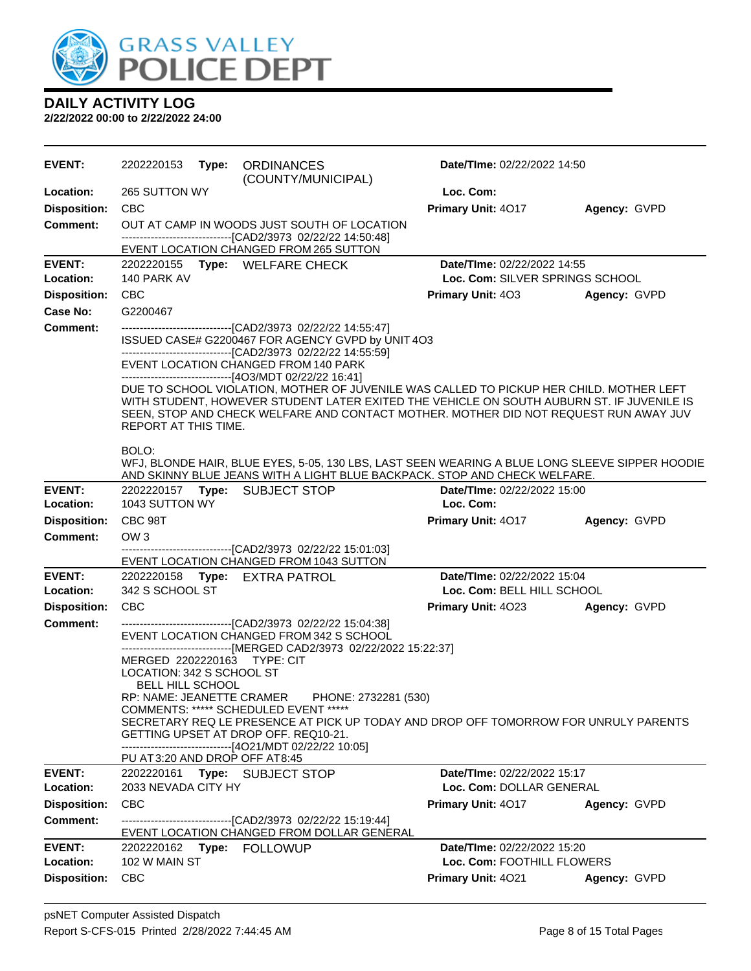

| <b>EVENT:</b>       | 2202220153                                                                                                       | Type: | <b>ORDINANCES</b><br>(COUNTY/MUNICIPAL)                                                                                                                                                                                                                                      | Date/TIme: 02/22/2022 14:50     |              |
|---------------------|------------------------------------------------------------------------------------------------------------------|-------|------------------------------------------------------------------------------------------------------------------------------------------------------------------------------------------------------------------------------------------------------------------------------|---------------------------------|--------------|
| Location:           | 265 SUTTON WY                                                                                                    |       |                                                                                                                                                                                                                                                                              | Loc. Com:                       |              |
| <b>Disposition:</b> | <b>CBC</b>                                                                                                       |       |                                                                                                                                                                                                                                                                              | Primary Unit: 4017              | Agency: GVPD |
| <b>Comment:</b>     |                                                                                                                  |       | OUT AT CAMP IN WOODS JUST SOUTH OF LOCATION<br>----------------------------------[CAD2/3973 02/22/22 14:50:48]                                                                                                                                                               |                                 |              |
| <b>EVENT:</b>       |                                                                                                                  |       | EVENT LOCATION CHANGED FROM 265 SUTTON<br>2202220155 Type: WELFARE CHECK                                                                                                                                                                                                     | Date/TIme: 02/22/2022 14:55     |              |
| Location:           | 140 PARK AV                                                                                                      |       |                                                                                                                                                                                                                                                                              | Loc. Com: SILVER SPRINGS SCHOOL |              |
| <b>Disposition:</b> | <b>CBC</b>                                                                                                       |       |                                                                                                                                                                                                                                                                              | <b>Primary Unit: 403</b>        | Agency: GVPD |
| Case No:            | G2200467                                                                                                         |       |                                                                                                                                                                                                                                                                              |                                 |              |
| <b>Comment:</b>     |                                                                                                                  |       | ---------------------------------[CAD2/3973 02/22/22 14:55:47]<br>ISSUED CASE# G2200467 FOR AGENCY GVPD by UNIT 4O3<br>-------------------------------[CAD2/3973_02/22/22 14:55:59]                                                                                          |                                 |              |
|                     |                                                                                                                  |       | EVENT LOCATION CHANGED FROM 140 PARK<br>-------------------------------[4O3/MDT 02/22/22 16:41]                                                                                                                                                                              |                                 |              |
|                     | REPORT AT THIS TIME.                                                                                             |       | DUE TO SCHOOL VIOLATION, MOTHER OF JUVENILE WAS CALLED TO PICKUP HER CHILD. MOTHER LEFT<br>WITH STUDENT, HOWEVER STUDENT LATER EXITED THE VEHICLE ON SOUTH AUBURN ST. IF JUVENILE IS<br>SEEN, STOP AND CHECK WELFARE AND CONTACT MOTHER. MOTHER DID NOT REQUEST RUN AWAY JUV |                                 |              |
|                     | BOLO:                                                                                                            |       | WFJ, BLONDE HAIR, BLUE EYES, 5-05, 130 LBS, LAST SEEN WEARING A BLUE LONG SLEEVE SIPPER HOODIE<br>AND SKINNY BLUE JEANS WITH A LIGHT BLUE BACKPACK. STOP AND CHECK WELFARE.                                                                                                  |                                 |              |
| <b>EVENT:</b>       | 2202220157                                                                                                       |       | Type: SUBJECT STOP                                                                                                                                                                                                                                                           | Date/TIme: 02/22/2022 15:00     |              |
| Location:           | 1043 SUTTON WY                                                                                                   |       |                                                                                                                                                                                                                                                                              | Loc. Com:                       |              |
| <b>Disposition:</b> | CBC 98T                                                                                                          |       |                                                                                                                                                                                                                                                                              | <b>Primary Unit: 4017</b>       | Agency: GVPD |
| <b>Comment:</b>     | OW <sub>3</sub>                                                                                                  |       | -------------------------------[CAD2/3973_02/22/22_15:01:03]<br>EVENT LOCATION CHANGED FROM 1043 SUTTON                                                                                                                                                                      |                                 |              |
| <b>EVENT:</b>       |                                                                                                                  |       | 2202220158 Type: EXTRA PATROL                                                                                                                                                                                                                                                | Date/TIme: 02/22/2022 15:04     |              |
| Location:           | 342 S SCHOOL ST                                                                                                  |       |                                                                                                                                                                                                                                                                              | Loc. Com: BELL HILL SCHOOL      |              |
| <b>Disposition:</b> | CBC                                                                                                              |       |                                                                                                                                                                                                                                                                              | <b>Primary Unit: 4023</b>       | Agency: GVPD |
| Comment:            | MERGED 2202220163 TYPE: CIT<br>LOCATION: 342 S SCHOOL ST<br><b>BELL HILL SCHOOL</b><br>RP: NAME: JEANETTE CRAMER |       | --------------------------------[CAD2/3973 02/22/22 15:04:38]<br>EVENT LOCATION CHANGED FROM 342 S SCHOOL<br>-------------------------------[MERGED CAD2/3973 02/22/2022 15:22:37]<br>PHONE: 2732281 (530)                                                                   |                                 |              |
|                     | PU AT 3:20 AND DROP OFF AT 8:45                                                                                  |       | COMMENTS: ***** SCHEDULED EVENT *****<br>SECRETARY REQ LE PRESENCE AT PICK UP TODAY AND DROP OFF TOMORROW FOR UNRULY PARENTS<br>GETTING UPSET AT DROP OFF. REQ10-21.<br>------------------------------[4O21/MDT 02/22/22 10:05]                                              |                                 |              |
| <b>EVENT:</b>       | 2202220161                                                                                                       |       | Type: SUBJECT STOP                                                                                                                                                                                                                                                           | Date/TIme: 02/22/2022 15:17     |              |
| Location:           | 2033 NEVADA CITY HY                                                                                              |       |                                                                                                                                                                                                                                                                              | Loc. Com: DOLLAR GENERAL        |              |
| <b>Disposition:</b> | <b>CBC</b>                                                                                                       |       |                                                                                                                                                                                                                                                                              | <b>Primary Unit: 4017</b>       | Agency: GVPD |
| <b>Comment:</b>     |                                                                                                                  |       | -------------------------------[CAD2/3973 02/22/22 15:19:44]<br>EVENT LOCATION CHANGED FROM DOLLAR GENERAL                                                                                                                                                                   |                                 |              |
| <b>EVENT:</b>       |                                                                                                                  |       | 2202220162 Type: FOLLOWUP                                                                                                                                                                                                                                                    | Date/TIme: 02/22/2022 15:20     |              |
| Location:           | 102 W MAIN ST                                                                                                    |       |                                                                                                                                                                                                                                                                              | Loc. Com: FOOTHILL FLOWERS      |              |
| <b>Disposition:</b> | <b>CBC</b>                                                                                                       |       |                                                                                                                                                                                                                                                                              | Primary Unit: 4021              | Agency: GVPD |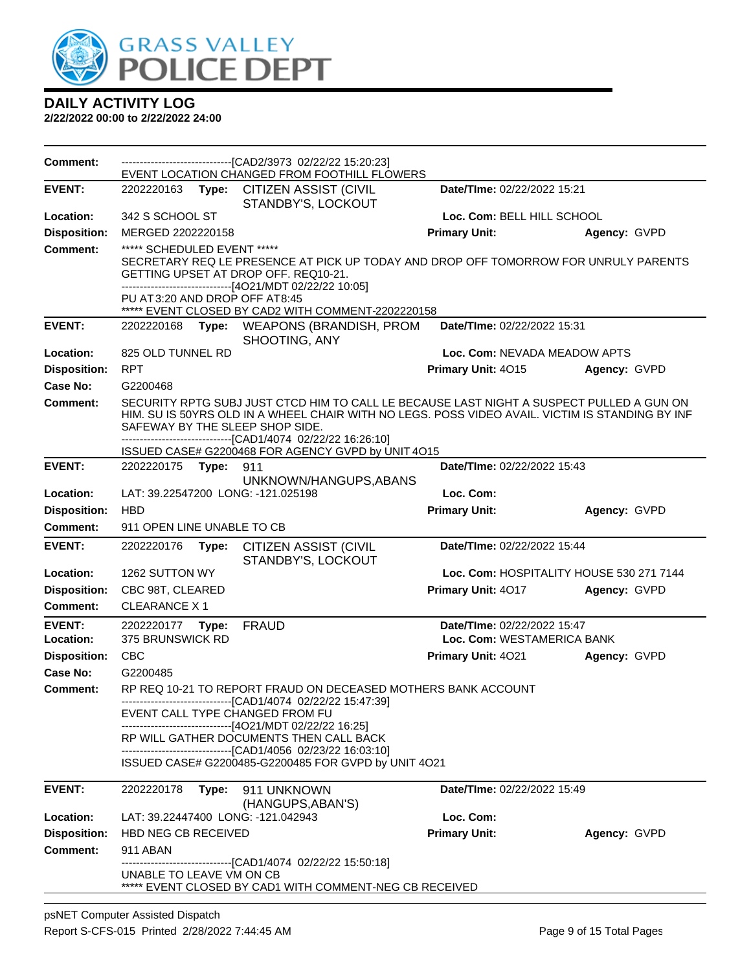

| <b>Comment:</b>     |                                                                |       | -------------------------------[CAD2/3973 02/22/22 15:20:23]<br>EVENT LOCATION CHANGED FROM FOOTHILL FLOWERS                                                                                                                                                                                                                                 |                                    |                                          |
|---------------------|----------------------------------------------------------------|-------|----------------------------------------------------------------------------------------------------------------------------------------------------------------------------------------------------------------------------------------------------------------------------------------------------------------------------------------------|------------------------------------|------------------------------------------|
| <b>EVENT:</b>       | 2202220163 <b>Type:</b>                                        |       | <b>CITIZEN ASSIST (CIVIL</b><br>STANDBY'S, LOCKOUT                                                                                                                                                                                                                                                                                           | Date/TIme: 02/22/2022 15:21        |                                          |
| Location:           | 342 S SCHOOL ST                                                |       |                                                                                                                                                                                                                                                                                                                                              | Loc. Com: BELL HILL SCHOOL         |                                          |
| <b>Disposition:</b> | MERGED 2202220158                                              |       |                                                                                                                                                                                                                                                                                                                                              | <b>Primary Unit:</b>               | Agency: GVPD                             |
| <b>Comment:</b>     | ***** SCHEDULED EVENT *****<br>PU AT 3:20 AND DROP OFF AT 8:45 |       | SECRETARY REQ LE PRESENCE AT PICK UP TODAY AND DROP OFF TOMORROW FOR UNRULY PARENTS<br>GETTING UPSET AT DROP OFF. REQ10-21.<br>------------------------------[4O21/MDT 02/22/22 10:05]<br>***** EVENT CLOSED BY CAD2 WITH COMMENT-2202220158                                                                                                 |                                    |                                          |
| <b>EVENT:</b>       | 2202220168                                                     | Type: | <b>WEAPONS (BRANDISH, PROM</b><br>SHOOTING, ANY                                                                                                                                                                                                                                                                                              | Date/TIme: 02/22/2022 15:31        |                                          |
| Location:           | 825 OLD TUNNEL RD                                              |       |                                                                                                                                                                                                                                                                                                                                              | Loc. Com: NEVADA MEADOW APTS       |                                          |
| <b>Disposition:</b> | <b>RPT</b>                                                     |       |                                                                                                                                                                                                                                                                                                                                              | Primary Unit: 4015                 | Agency: GVPD                             |
| Case No:            | G2200468                                                       |       |                                                                                                                                                                                                                                                                                                                                              |                                    |                                          |
| <b>Comment:</b>     |                                                                |       | SECURITY RPTG SUBJ JUST CTCD HIM TO CALL LE BECAUSE LAST NIGHT A SUSPECT PULLED A GUN ON<br>HIM. SU IS 50YRS OLD IN A WHEEL CHAIR WITH NO LEGS. POSS VIDEO AVAIL. VICTIM IS STANDING BY INF<br>SAFEWAY BY THE SLEEP SHOP SIDE.<br>-----------------------[CAD1/4074_02/22/22 16:26:10]<br>ISSUED CASE# G2200468 FOR AGENCY GVPD by UNIT 4O15 |                                    |                                          |
| <b>EVENT:</b>       | 2202220175                                                     | Type: | 911                                                                                                                                                                                                                                                                                                                                          | Date/TIme: 02/22/2022 15:43        |                                          |
| Location:           |                                                                |       | UNKNOWN/HANGUPS, ABANS<br>LAT: 39.22547200 LONG: -121.025198                                                                                                                                                                                                                                                                                 | Loc. Com:                          |                                          |
| <b>Disposition:</b> | <b>HBD</b>                                                     |       |                                                                                                                                                                                                                                                                                                                                              | <b>Primary Unit:</b>               | Agency: GVPD                             |
| <b>Comment:</b>     | 911 OPEN LINE UNABLE TO CB                                     |       |                                                                                                                                                                                                                                                                                                                                              |                                    |                                          |
| <b>EVENT:</b>       | 2202220176                                                     | Type: | <b>CITIZEN ASSIST (CIVIL</b><br>STANDBY'S, LOCKOUT                                                                                                                                                                                                                                                                                           | Date/TIme: 02/22/2022 15:44        |                                          |
| Location:           | 1262 SUTTON WY                                                 |       |                                                                                                                                                                                                                                                                                                                                              |                                    | Loc. Com: HOSPITALITY HOUSE 530 271 7144 |
| <b>Disposition:</b> | CBC 98T, CLEARED                                               |       |                                                                                                                                                                                                                                                                                                                                              | Primary Unit: 4017                 | Agency: GVPD                             |
| Comment:            | <b>CLEARANCE X1</b>                                            |       |                                                                                                                                                                                                                                                                                                                                              |                                    |                                          |
| <b>EVENT:</b>       | 2202220177                                                     | Type: | <b>FRAUD</b>                                                                                                                                                                                                                                                                                                                                 | Date/TIme: 02/22/2022 15:47        |                                          |
| Location:           | 375 BRUNSWICK RD                                               |       |                                                                                                                                                                                                                                                                                                                                              | Loc. Com: WESTAMERICA BANK         |                                          |
| <b>Disposition:</b> | <b>CBC</b>                                                     |       |                                                                                                                                                                                                                                                                                                                                              | Primary Unit: 4021                 | Agency: GVPD                             |
| Case No:            | G2200485                                                       |       |                                                                                                                                                                                                                                                                                                                                              |                                    |                                          |
| <b>Comment:</b>     |                                                                |       | RP REQ 10-21 TO REPORT FRAUD ON DECEASED MOTHERS BANK ACCOUNT                                                                                                                                                                                                                                                                                |                                    |                                          |
|                     |                                                                |       | ----------------[CAD1/4074 02/22/22 15:47:39]<br>EVENT CALL TYPE CHANGED FROM FU<br>------------------------------[4O21/MDT 02/22/22 16:25]                                                                                                                                                                                                  |                                    |                                          |
|                     |                                                                |       | RP WILL GATHER DOCUMENTS THEN CALL BACK<br>--------------------------------[CAD1/4056 02/23/22 16:03:10]                                                                                                                                                                                                                                     |                                    |                                          |
|                     |                                                                |       | ISSUED CASE# G2200485-G2200485 FOR GVPD by UNIT 4O21                                                                                                                                                                                                                                                                                         |                                    |                                          |
| <b>EVENT:</b>       | 2202220178                                                     |       | Type: 911 UNKNOWN                                                                                                                                                                                                                                                                                                                            | <b>Date/Time: 02/22/2022 15:49</b> |                                          |
| Location:           |                                                                |       | (HANGUPS, ABAN'S)<br>LAT: 39.22447400 LONG: -121.042943                                                                                                                                                                                                                                                                                      | Loc. Com:                          |                                          |
| <b>Disposition:</b> | <b>HBD NEG CB RECEIVED</b>                                     |       |                                                                                                                                                                                                                                                                                                                                              | <b>Primary Unit:</b>               | Agency: GVPD                             |
| Comment:            | 911 ABAN                                                       |       |                                                                                                                                                                                                                                                                                                                                              |                                    |                                          |
|                     | UNABLE TO LEAVE VM ON CB                                       |       | -------------------------------[CAD1/4074_02/22/22 15:50:18]<br>***** EVENT CLOSED BY CAD1 WITH COMMENT-NEG CB RECEIVED                                                                                                                                                                                                                      |                                    |                                          |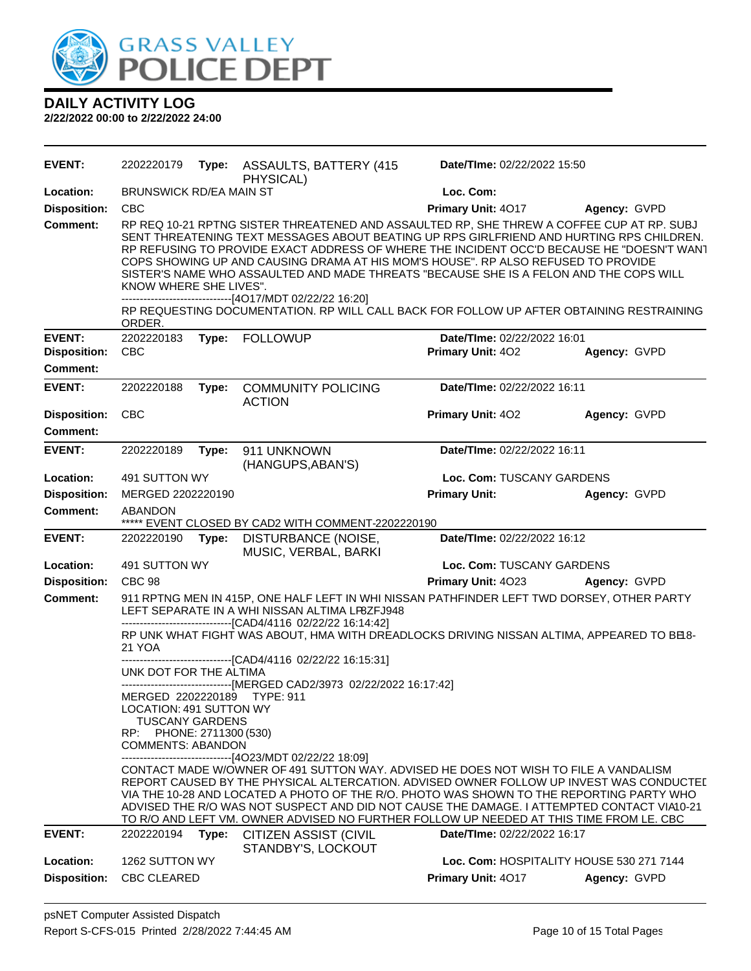

**DAILY ACTIVITY LOG 2/22/2022 00:00 to 2/22/2022 24:00**

**EVENT:** 2202220179 **Type:** ASSAULTS, BATTERY (415 PHYSICAL) **Date/TIme:** 02/22/2022 15:50 **Location:** BRUNSWICK RD/EA MAIN ST **Loc. Com: Disposition:** CBC **Primary Unit:** 4O17 **Agency:** GVPD **Comment:** RP REQ 10-21 RPTNG SISTER THREATENED AND ASSAULTED RP, SHE THREW A COFFEE CUP AT RP. SUBJ SENT THREATENING TEXT MESSAGES ABOUT BEATING UP RPS GIRLFRIEND AND HURTING RPS CHILDREN. RP REFUSING TO PROVIDE EXACT ADDRESS OF WHERE THE INCIDENT OCC'D BECAUSE HE "DOESN'T WANT COPS SHOWING UP AND CAUSING DRAMA AT HIS MOM'S HOUSE". RP ALSO REFUSED TO PROVIDE SISTER'S NAME WHO ASSAULTED AND MADE THREATS "BECAUSE SHE IS A FELON AND THE COPS WILL KNOW WHERE SHE LIVES". ------------------------------[4O17/MDT 02/22/22 16:20] RP REQUESTING DOCUMENTATION. RP WILL CALL BACK FOR FOLLOW UP AFTER OBTAINING RESTRAINING ORDER. **EVENT:** 2202220183 **Type:** FOLLOWUP **Date/TIme:** 02/22/2022 16:01 **Disposition:** CBC **Primary Unit:** 4O2 **Agency:** GVPD **Comment: EVENT:** 2202220188 **Type:** COMMUNITY POLICING ACTION **Date/TIme:** 02/22/2022 16:11 **Disposition:** CBC **Primary Unit:** 4O2 **Agency:** GVPD **Comment: EVENT:** 2202220189 **Type:** 911 UNKNOWN (HANGUPS,ABAN'S) **Date/TIme:** 02/22/2022 16:11 **Location:** 491 SUTTON WY **Loc. Com:** TUSCANY GARDENS **Disposition:** MERGED 2202220190 **Primary Unit: Agency:** GVPD **Comment:** ABANDON \*\*\*\*\* EVENT CLOSED BY CAD2 WITH COMMENT-2202220190 **EVENT:** 2202220190 **Type:** DISTURBANCE (NOISE, MUSIC, VERBAL, BARKI **Date/TIme:** 02/22/2022 16:12 **Location:** 491 SUTTON WY **Loc. Com:** TUSCANY GARDENS **Disposition:** CBC 98 **Primary Unit:** 4O23 **Agency:** GVPD **Comment:** 911 RPTNG MEN IN 415P, ONE HALF LEFT IN WHI NISSAN PATHFINDER LEFT TWD DORSEY, OTHER PARTY LEFT SEPARATE IN A WHI NISSAN ALTIMA LP8ZFJ948 ------------------------------[CAD4/4116 02/22/22 16:14:42] RP UNK WHAT FIGHT WAS ABOUT, HMA WITH DREADLOCKS DRIVING NISSAN ALTIMA, APPEARED TO BE 8-21 YOA ------------------------------[CAD4/4116 02/22/22 16:15:31] UNK DOT FOR THE ALTIMA ------------------------------[MERGED CAD2/3973 02/22/2022 16:17:42] MERGED 2202220189 TYPE: 911 LOCATION: 491 SUTTON WY TUSCANY GARDENS RP: PHONE: 2711300 (530) COMMENTS: ABANDON ------------------------------[4O23/MDT 02/22/22 18:09] CONTACT MADE W/OWNER OF 491 SUTTON WAY. ADVISED HE DOES NOT WISH TO FILE A VANDALISM REPORT CAUSED BY THE PHYSICAL ALTERCATION. ADVISED OWNER FOLLOW UP INVEST WAS CONDUCTED VIA THE 10-28 AND LOCATED A PHOTO OF THE R/O. PHOTO WAS SHOWN TO THE REPORTING PARTY WHO ADVISED THE R/O WAS NOT SUSPECT AND DID NOT CAUSE THE DAMAGE. I ATTEMPTED CONTACT VIA10-21 TO R/O AND LEFT VM. OWNER ADVISED NO FURTHER FOLLOW UP NEEDED AT THIS TIME FROM LE. CBC **EVENT:** 2202220194 **Type:** CITIZEN ASSIST (CIVIL STANDBY'S, LOCKOUT **Date/TIme:** 02/22/2022 16:17 **Location:** 1262 SUTTON WY **Loc. Com:** HOSPITALITY HOUSE 530 271 7144 **Disposition:** CBC CLEARED **Primary Unit:** 4O17 **Agency:** GVPD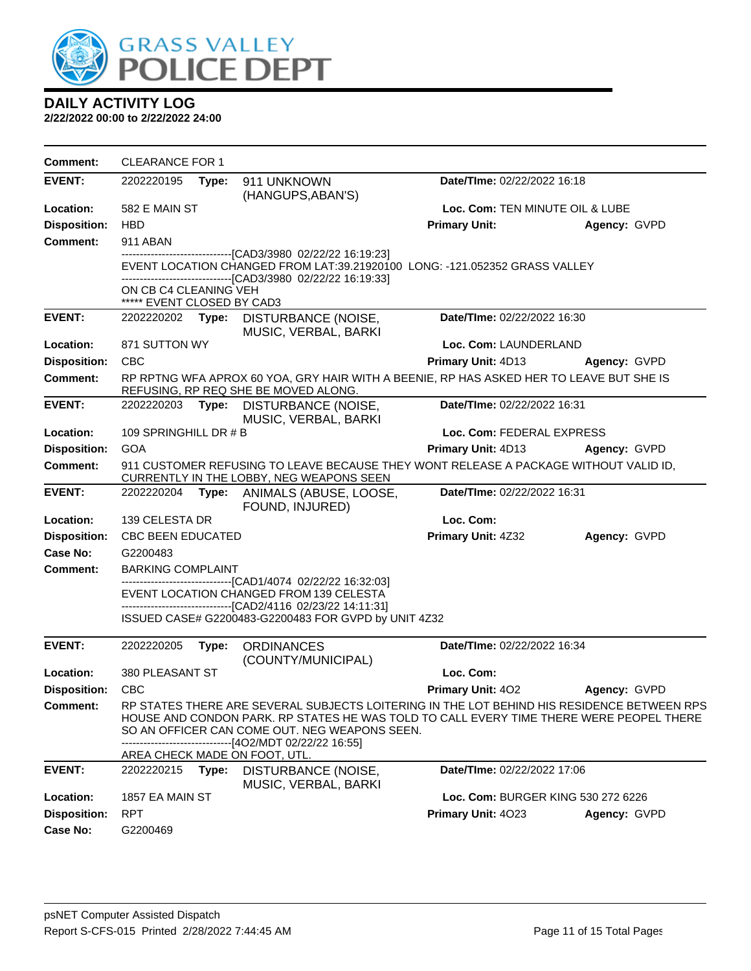

| <b>Comment:</b>     | <b>CLEARANCE FOR 1</b>                              |       |                                                                                                                                                                                                                                                                                                           |                                    |              |
|---------------------|-----------------------------------------------------|-------|-----------------------------------------------------------------------------------------------------------------------------------------------------------------------------------------------------------------------------------------------------------------------------------------------------------|------------------------------------|--------------|
| <b>EVENT:</b>       | 2202220195                                          | Type: | 911 UNKNOWN<br>(HANGUPS, ABAN'S)                                                                                                                                                                                                                                                                          | Date/TIme: 02/22/2022 16:18        |              |
| Location:           | 582 E MAIN ST                                       |       |                                                                                                                                                                                                                                                                                                           | Loc. Com: TEN MINUTE OIL & LUBE    |              |
| <b>Disposition:</b> | <b>HBD</b>                                          |       |                                                                                                                                                                                                                                                                                                           | <b>Primary Unit:</b>               | Agency: GVPD |
| <b>Comment:</b>     | 911 ABAN                                            |       |                                                                                                                                                                                                                                                                                                           |                                    |              |
|                     |                                                     |       | ------------------------------[CAD3/3980 02/22/22 16:19:23]<br>EVENT LOCATION CHANGED FROM LAT:39.21920100 LONG: -121.052352 GRASS VALLEY<br>----------------------[CAD3/3980_02/22/22 16:19:33]                                                                                                          |                                    |              |
|                     | ON CB C4 CLEANING VEH<br>***** EVENT CLOSED BY CAD3 |       |                                                                                                                                                                                                                                                                                                           |                                    |              |
| <b>EVENT:</b>       | 2202220202                                          |       | Type: DISTURBANCE (NOISE,<br>MUSIC, VERBAL, BARKI                                                                                                                                                                                                                                                         | Date/TIme: 02/22/2022 16:30        |              |
| Location:           | 871 SUTTON WY                                       |       |                                                                                                                                                                                                                                                                                                           | Loc. Com: LAUNDERLAND              |              |
| <b>Disposition:</b> | <b>CBC</b>                                          |       |                                                                                                                                                                                                                                                                                                           | Primary Unit: 4D13                 | Agency: GVPD |
| <b>Comment:</b>     |                                                     |       | RP RPTNG WFA APROX 60 YOA, GRY HAIR WITH A BEENIE, RP HAS ASKED HER TO LEAVE BUT SHE IS<br>REFUSING, RP REQ SHE BE MOVED ALONG.                                                                                                                                                                           |                                    |              |
| <b>EVENT:</b>       |                                                     |       | 2202220203 Type: DISTURBANCE (NOISE,<br>MUSIC, VERBAL, BARKI                                                                                                                                                                                                                                              | Date/TIme: 02/22/2022 16:31        |              |
| Location:           | 109 SPRINGHILL DR # B                               |       |                                                                                                                                                                                                                                                                                                           | Loc. Com: FEDERAL EXPRESS          |              |
| <b>Disposition:</b> | <b>GOA</b>                                          |       |                                                                                                                                                                                                                                                                                                           | Primary Unit: 4D13                 | Agency: GVPD |
| <b>Comment:</b>     |                                                     |       | 911 CUSTOMER REFUSING TO LEAVE BECAUSE THEY WONT RELEASE A PACKAGE WITHOUT VALID ID,<br>CURRENTLY IN THE LOBBY, NEG WEAPONS SEEN                                                                                                                                                                          |                                    |              |
| <b>EVENT:</b>       | 2202220204                                          |       | Type: ANIMALS (ABUSE, LOOSE,<br>FOUND, INJURED)                                                                                                                                                                                                                                                           | Date/TIme: 02/22/2022 16:31        |              |
| Location:           | 139 CELESTA DR                                      |       |                                                                                                                                                                                                                                                                                                           | Loc. Com:                          |              |
| <b>Disposition:</b> | <b>CBC BEEN EDUCATED</b>                            |       |                                                                                                                                                                                                                                                                                                           | Primary Unit: 4Z32                 | Agency: GVPD |
| Case No:            | G2200483                                            |       |                                                                                                                                                                                                                                                                                                           |                                    |              |
| <b>Comment:</b>     | <b>BARKING COMPLAINT</b>                            |       |                                                                                                                                                                                                                                                                                                           |                                    |              |
|                     |                                                     |       | ------------------------------[CAD1/4074 02/22/22 16:32:03]<br>EVENT LOCATION CHANGED FROM 139 CELESTA<br>-----------------[CAD2/4116_02/23/22 14:11:31]                                                                                                                                                  |                                    |              |
|                     |                                                     |       | ISSUED CASE# G2200483-G2200483 FOR GVPD by UNIT 4Z32                                                                                                                                                                                                                                                      |                                    |              |
| <b>EVENT:</b>       | 2202220205                                          | Type: | <b>ORDINANCES</b><br>(COUNTY/MUNICIPAL)                                                                                                                                                                                                                                                                   | Date/TIme: 02/22/2022 16:34        |              |
| Location:           | 380 PLEASANT ST                                     |       |                                                                                                                                                                                                                                                                                                           | Loc. Com:                          |              |
| <b>Disposition:</b> | <b>CBC</b>                                          |       |                                                                                                                                                                                                                                                                                                           | <b>Primary Unit: 402</b>           | Agency: GVPD |
| <b>Comment:</b>     |                                                     |       | RP STATES THERE ARE SEVERAL SUBJECTS LOITERING IN THE LOT BEHIND HIS RESIDENCE BETWEEN RPS<br>HOUSE AND CONDON PARK. RP STATES HE WAS TOLD TO CALL EVERY TIME THERE WERE PEOPEL THERE<br>SO AN OFFICER CAN COME OUT. NEG WEAPONS SEEN.<br>------[4O2/MDT 02/22/22 16:55]<br>AREA CHECK MADE ON FOOT, UTL. |                                    |              |
| <b>EVENT:</b>       | 2202220215                                          | Type: | DISTURBANCE (NOISE,<br>MUSIC, VERBAL, BARKI                                                                                                                                                                                                                                                               | Date/TIme: 02/22/2022 17:06        |              |
| Location:           | 1857 EA MAIN ST                                     |       |                                                                                                                                                                                                                                                                                                           | Loc. Com: BURGER KING 530 272 6226 |              |
| <b>Disposition:</b> | <b>RPT</b>                                          |       |                                                                                                                                                                                                                                                                                                           | Primary Unit: 4023                 | Agency: GVPD |
| <b>Case No:</b>     | G2200469                                            |       |                                                                                                                                                                                                                                                                                                           |                                    |              |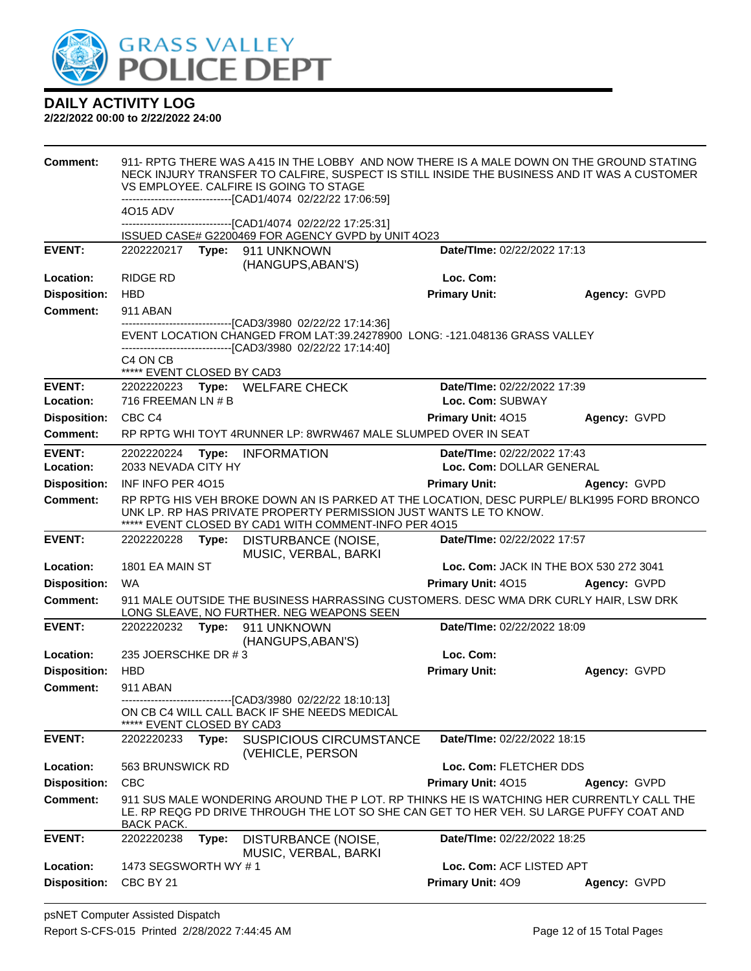

| <b>Comment:</b>     |                                                                |       | 911- RPTG THERE WAS A415 IN THE LOBBY AND NOW THERE IS A MALE DOWN ON THE GROUND STATING<br>NECK INJURY TRANSFER TO CALFIRE, SUSPECT IS STILL INSIDE THE BUSINESS AND IT WAS A CUSTOMER<br>VS EMPLOYEE. CALFIRE IS GOING TO STAGE<br>-------------------------------[CAD1/4074 02/22/22 17:06:59] |                             |                                        |
|---------------------|----------------------------------------------------------------|-------|---------------------------------------------------------------------------------------------------------------------------------------------------------------------------------------------------------------------------------------------------------------------------------------------------|-----------------------------|----------------------------------------|
|                     | 4O15 ADV                                                       |       | ---------------------------------[CAD1/4074 02/22/22 17:25:31]                                                                                                                                                                                                                                    |                             |                                        |
|                     |                                                                |       | ISSUED CASE# G2200469 FOR AGENCY GVPD by UNIT 4O23                                                                                                                                                                                                                                                |                             |                                        |
| <b>EVENT:</b>       |                                                                |       | (HANGUPS, ABAN'S)                                                                                                                                                                                                                                                                                 | Date/TIme: 02/22/2022 17:13 |                                        |
| Location:           | <b>RIDGE RD</b>                                                |       |                                                                                                                                                                                                                                                                                                   | Loc. Com:                   |                                        |
| <b>Disposition:</b> | <b>HBD</b>                                                     |       |                                                                                                                                                                                                                                                                                                   | <b>Primary Unit:</b>        | Agency: GVPD                           |
| <b>Comment:</b>     | 911 ABAN                                                       |       |                                                                                                                                                                                                                                                                                                   |                             |                                        |
|                     |                                                                |       | -------------------------------[CAD3/3980 02/22/22 17:14:36]<br>EVENT LOCATION CHANGED FROM LAT:39.24278900 LONG: -121.048136 GRASS VALLEY<br>-------------------------------[CAD3/3980 02/22/22 17:14:40]                                                                                        |                             |                                        |
|                     | C <sub>4</sub> ON C <sub>B</sub><br>***** EVENT CLOSED BY CAD3 |       |                                                                                                                                                                                                                                                                                                   |                             |                                        |
| <b>EVENT:</b>       |                                                                |       | 2202220223 Type: WELFARE CHECK                                                                                                                                                                                                                                                                    | Date/TIme: 02/22/2022 17:39 |                                        |
| Location:           | 716 FREEMAN LN # B                                             |       |                                                                                                                                                                                                                                                                                                   | Loc. Com: SUBWAY            |                                        |
| <b>Disposition:</b> | CBC C4                                                         |       |                                                                                                                                                                                                                                                                                                   | <b>Primary Unit: 4015</b>   | Agency: GVPD                           |
| Comment:            |                                                                |       | RP RPTG WHI TOYT 4RUNNER LP: 8WRW467 MALE SLUMPED OVER IN SEAT                                                                                                                                                                                                                                    |                             |                                        |
| <b>EVENT:</b>       |                                                                |       | 2202220224 Type: INFORMATION                                                                                                                                                                                                                                                                      | Date/TIme: 02/22/2022 17:43 |                                        |
| Location:           | 2033 NEVADA CITY HY                                            |       |                                                                                                                                                                                                                                                                                                   | Loc. Com: DOLLAR GENERAL    |                                        |
| <b>Disposition:</b> | INF INFO PER 4015                                              |       |                                                                                                                                                                                                                                                                                                   | <b>Primary Unit:</b>        | Agency: GVPD                           |
| <b>Comment:</b>     |                                                                |       | RP RPTG HIS VEH BROKE DOWN AN IS PARKED AT THE LOCATION, DESC PURPLE/ BLK1995 FORD BRONCO<br>UNK LP. RP HAS PRIVATE PROPERTY PERMISSION JUST WANTS LE TO KNOW.<br>***** EVENT CLOSED BY CAD1 WITH COMMENT-INFO PER 4015                                                                           |                             |                                        |
| <b>EVENT:</b>       | 2202220228                                                     | Type: | DISTURBANCE (NOISE,<br>MUSIC, VERBAL, BARKI                                                                                                                                                                                                                                                       | Date/TIme: 02/22/2022 17:57 |                                        |
| Location:           | 1801 EA MAIN ST                                                |       |                                                                                                                                                                                                                                                                                                   |                             | Loc. Com: JACK IN THE BOX 530 272 3041 |
| <b>Disposition:</b> | <b>WA</b>                                                      |       |                                                                                                                                                                                                                                                                                                   | Primary Unit: 4015          | Agency: GVPD                           |
| <b>Comment:</b>     |                                                                |       | 911 MALE OUTSIDE THE BUSINESS HARRASSING CUSTOMERS. DESC WMA DRK CURLY HAIR, LSW DRK<br>LONG SLEAVE, NO FURTHER. NEG WEAPONS SEEN                                                                                                                                                                 |                             |                                        |
| <b>EVENT:</b>       | 2202220232                                                     | Type: | 911 UNKNOWN<br>(HANGUPS, ABAN'S)                                                                                                                                                                                                                                                                  | Date/TIme: 02/22/2022 18:09 |                                        |
| Location:           | 235 JOERSCHKE DR #3                                            |       |                                                                                                                                                                                                                                                                                                   | Loc. Com:                   |                                        |
| <b>Disposition:</b> | <b>HBD</b>                                                     |       |                                                                                                                                                                                                                                                                                                   | <b>Primary Unit:</b>        | Agency: GVPD                           |
| <b>Comment:</b>     | 911 ABAN                                                       |       |                                                                                                                                                                                                                                                                                                   |                             |                                        |
|                     | ***** EVENT CLOSED BY CAD3                                     |       | ------------------[CAD3/3980 02/22/22 18:10:13]<br>ON CB C4 WILL CALL BACK IF SHE NEEDS MEDICAL                                                                                                                                                                                                   |                             |                                        |
| <b>EVENT:</b>       | 2202220233                                                     | Type: | <b>SUSPICIOUS CIRCUMSTANCE</b><br>(VEHICLE, PERSON                                                                                                                                                                                                                                                | Date/TIme: 02/22/2022 18:15 |                                        |
| Location:           | 563 BRUNSWICK RD                                               |       |                                                                                                                                                                                                                                                                                                   | Loc. Com: FLETCHER DDS      |                                        |
| <b>Disposition:</b> | <b>CBC</b>                                                     |       |                                                                                                                                                                                                                                                                                                   | Primary Unit: 4015          | Agency: GVPD                           |
| <b>Comment:</b>     | BACK PACK.                                                     |       | 911 SUS MALE WONDERING AROUND THE P LOT. RP THINKS HE IS WATCHING HER CURRENTLY CALL THE<br>LE. RP REQG PD DRIVE THROUGH THE LOT SO SHE CAN GET TO HER VEH. SU LARGE PUFFY COAT AND                                                                                                               |                             |                                        |
| <b>EVENT:</b>       | 2202220238                                                     | Type: | DISTURBANCE (NOISE,<br>MUSIC, VERBAL, BARKI                                                                                                                                                                                                                                                       | Date/TIme: 02/22/2022 18:25 |                                        |
| Location:           | 1473 SEGSWORTH WY #1                                           |       |                                                                                                                                                                                                                                                                                                   | Loc. Com: ACF LISTED APT    |                                        |
| <b>Disposition:</b> | CBC BY 21                                                      |       |                                                                                                                                                                                                                                                                                                   | Primary Unit: 409           | Agency: GVPD                           |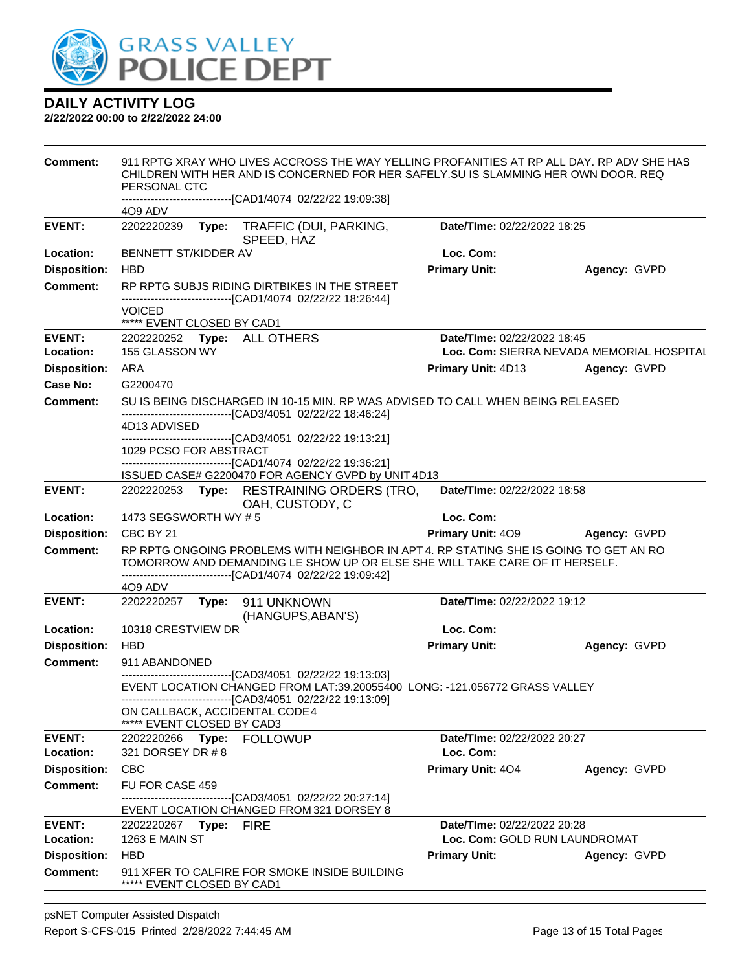

| <b>Comment:</b>            | 911 RPTG XRAY WHO LIVES ACCROSS THE WAY YELLING PROFANITIES AT RP ALL DAY. RP ADV SHE HAS<br>CHILDREN WITH HER AND IS CONCERNED FOR HER SAFELY. SU IS SLAMMING HER OWN DOOR. REQ<br>PERSONAL CTC                                     |                                                                                 |              |  |  |  |
|----------------------------|--------------------------------------------------------------------------------------------------------------------------------------------------------------------------------------------------------------------------------------|---------------------------------------------------------------------------------|--------------|--|--|--|
|                            | -------------------------[CAD1/4074_02/22/22_19:09:38]                                                                                                                                                                               |                                                                                 |              |  |  |  |
| <b>EVENT:</b>              | 4O9 ADV<br>2202220239<br>TRAFFIC (DUI, PARKING,<br>Type:<br>SPEED, HAZ                                                                                                                                                               | Date/TIme: 02/22/2022 18:25                                                     |              |  |  |  |
| Location:                  | BENNETT ST/KIDDER AV                                                                                                                                                                                                                 | Loc. Com:                                                                       |              |  |  |  |
| <b>Disposition:</b>        | <b>HBD</b>                                                                                                                                                                                                                           | <b>Primary Unit:</b>                                                            | Agency: GVPD |  |  |  |
| <b>Comment:</b>            | RP RPTG SUBJS RIDING DIRTBIKES IN THE STREET<br>-------------------------------[CAD1/4074 02/22/22 18:26:44]                                                                                                                         |                                                                                 |              |  |  |  |
|                            | <b>VOICED</b><br>***** EVENT CLOSED BY CAD1                                                                                                                                                                                          |                                                                                 |              |  |  |  |
| <b>EVENT:</b><br>Location: | 2202220252 Type: ALL OTHERS<br>155 GLASSON WY                                                                                                                                                                                        | <b>Date/Time: 02/22/2022 18:45</b><br>Loc. Com: SIERRA NEVADA MEMORIAL HOSPITAL |              |  |  |  |
| <b>Disposition:</b>        | ARA                                                                                                                                                                                                                                  | <b>Primary Unit: 4D13</b>                                                       | Agency: GVPD |  |  |  |
| Case No:                   | G2200470                                                                                                                                                                                                                             |                                                                                 |              |  |  |  |
| <b>Comment:</b>            | SU IS BEING DISCHARGED IN 10-15 MIN. RP WAS ADVISED TO CALL WHEN BEING RELEASED                                                                                                                                                      |                                                                                 |              |  |  |  |
|                            | -------------------------------[CAD3/4051 02/22/22 18:46:24]<br>4D13 ADVISED                                                                                                                                                         |                                                                                 |              |  |  |  |
|                            | -------------------------------[CAD3/4051_02/22/22 19:13:21]                                                                                                                                                                         |                                                                                 |              |  |  |  |
|                            | 1029 PCSO FOR ABSTRACT                                                                                                                                                                                                               |                                                                                 |              |  |  |  |
|                            | -------------------------------[CAD1/4074 02/22/22 19:36:21]<br>ISSUED CASE# G2200470 FOR AGENCY GVPD by UNIT 4D13                                                                                                                   |                                                                                 |              |  |  |  |
| <b>EVENT:</b>              | 2202220253 Type: RESTRAINING ORDERS (TRO,<br>OAH, CUSTODY, C                                                                                                                                                                         | Date/TIme: 02/22/2022 18:58                                                     |              |  |  |  |
| Location:                  | 1473 SEGSWORTH WY #5                                                                                                                                                                                                                 | Loc. Com:                                                                       |              |  |  |  |
| <b>Disposition:</b>        | CBC BY 21                                                                                                                                                                                                                            | <b>Primary Unit: 409</b>                                                        | Agency: GVPD |  |  |  |
| <b>Comment:</b>            | RP RPTG ONGOING PROBLEMS WITH NEIGHBOR IN APT 4. RP STATING SHE IS GOING TO GET AN RO<br>TOMORROW AND DEMANDING LE SHOW UP OR ELSE SHE WILL TAKE CARE OF IT HERSELF.<br>-------------------------------[CAD1/4074 02/22/22 19:09:42] |                                                                                 |              |  |  |  |
|                            | 4O9 ADV                                                                                                                                                                                                                              |                                                                                 |              |  |  |  |
| <b>EVENT:</b>              | 2202220257<br>Type: 911 UNKNOWN<br>(HANGUPS, ABAN'S)                                                                                                                                                                                 | Date/TIme: 02/22/2022 19:12                                                     |              |  |  |  |
| Location:                  | 10318 CRESTVIEW DR                                                                                                                                                                                                                   | Loc. Com:                                                                       |              |  |  |  |
| <b>Disposition:</b>        | <b>HBD</b>                                                                                                                                                                                                                           | <b>Primary Unit:</b>                                                            | Agency: GVPD |  |  |  |
| <b>Comment:</b>            | 911 ABANDONED                                                                                                                                                                                                                        |                                                                                 |              |  |  |  |
|                            | ------------------------[CAD3/4051_02/22/22 19:13:03]<br>EVENT LOCATION CHANGED FROM LAT:39.20055400 LONG: -121.056772 GRASS VALLEY<br>----------------------------[CAD3/4051 02/22/22 19:13:09]                                     |                                                                                 |              |  |  |  |
|                            | ON CALLBACK, ACCIDENTAL CODE 4<br>***** EVENT CLOSED BY CAD3                                                                                                                                                                         |                                                                                 |              |  |  |  |
| <b>EVENT:</b>              | 2202220266 Type: FOLLOWUP                                                                                                                                                                                                            | Date/TIme: 02/22/2022 20:27                                                     |              |  |  |  |
| Location:                  | 321 DORSEY DR # 8                                                                                                                                                                                                                    | Loc. Com:                                                                       |              |  |  |  |
| <b>Disposition:</b>        | <b>CBC</b>                                                                                                                                                                                                                           | Primary Unit: 404                                                               | Agency: GVPD |  |  |  |
| <b>Comment:</b>            | FU FOR CASE 459                                                                                                                                                                                                                      |                                                                                 |              |  |  |  |
|                            | -------------------------------[CAD3/4051 02/22/22 20:27:14]<br>EVENT LOCATION CHANGED FROM 321 DORSEY 8                                                                                                                             |                                                                                 |              |  |  |  |
| <b>EVENT:</b>              | 2202220267    Type: FIRE                                                                                                                                                                                                             | Date/TIme: 02/22/2022 20:28                                                     |              |  |  |  |
| Location:                  | 1263 E MAIN ST                                                                                                                                                                                                                       | Loc. Com: GOLD RUN LAUNDROMAT                                                   |              |  |  |  |
| <b>Disposition:</b>        | <b>HBD</b>                                                                                                                                                                                                                           | <b>Primary Unit:</b>                                                            | Agency: GVPD |  |  |  |
| <b>Comment:</b>            | 911 XFER TO CALFIRE FOR SMOKE INSIDE BUILDING<br>***** EVENT CLOSED BY CAD1                                                                                                                                                          |                                                                                 |              |  |  |  |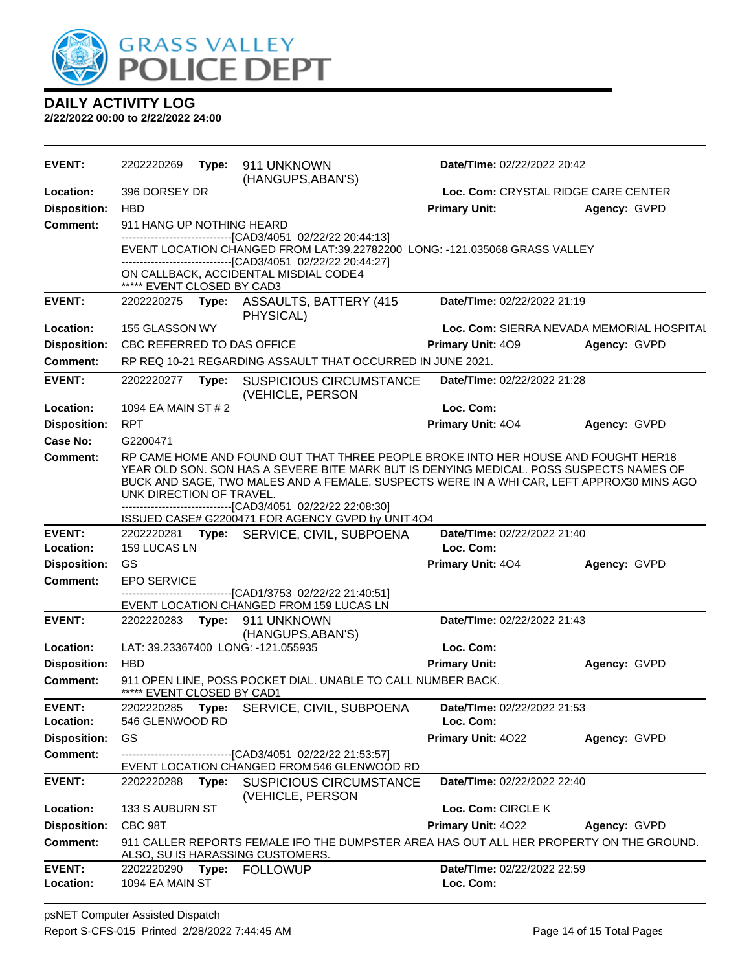

| <b>EVENT:</b>              | 2202220269                                                                                                                                                                                                                                                                                                                                                             | Type:                                                      | 911 UNKNOWN<br>(HANGUPS, ABAN'S)                                                                                            | Date/TIme: 02/22/2022 20:42              |                                           |  |
|----------------------------|------------------------------------------------------------------------------------------------------------------------------------------------------------------------------------------------------------------------------------------------------------------------------------------------------------------------------------------------------------------------|------------------------------------------------------------|-----------------------------------------------------------------------------------------------------------------------------|------------------------------------------|-------------------------------------------|--|
| Location:                  | 396 DORSEY DR                                                                                                                                                                                                                                                                                                                                                          |                                                            |                                                                                                                             | Loc. Com: CRYSTAL RIDGE CARE CENTER      |                                           |  |
| <b>Disposition:</b>        | <b>HBD</b>                                                                                                                                                                                                                                                                                                                                                             |                                                            |                                                                                                                             | <b>Primary Unit:</b>                     | Agency: GVPD                              |  |
| <b>Comment:</b>            | 911 HANG UP NOTHING HEARD                                                                                                                                                                                                                                                                                                                                              |                                                            |                                                                                                                             |                                          |                                           |  |
|                            | --------------------------------[CAD3/4051 02/22/22 20:44:13]<br>EVENT LOCATION CHANGED FROM LAT:39.22782200 LONG: -121.035068 GRASS VALLEY<br>------------------------[CAD3/4051_02/22/22 20:44:27]                                                                                                                                                                   |                                                            |                                                                                                                             |                                          |                                           |  |
|                            | ***** EVENT CLOSED BY CAD3                                                                                                                                                                                                                                                                                                                                             |                                                            | ON CALLBACK, ACCIDENTAL MISDIAL CODE4                                                                                       |                                          |                                           |  |
| <b>EVENT:</b>              | 2202220275                                                                                                                                                                                                                                                                                                                                                             | Type:                                                      | ASSAULTS, BATTERY (415<br>PHYSICAL)                                                                                         | Date/TIme: 02/22/2022 21:19              |                                           |  |
| Location:                  | 155 GLASSON WY                                                                                                                                                                                                                                                                                                                                                         |                                                            |                                                                                                                             |                                          | Loc. Com: SIERRA NEVADA MEMORIAL HOSPITAL |  |
| <b>Disposition:</b>        | CBC REFERRED TO DAS OFFICE                                                                                                                                                                                                                                                                                                                                             |                                                            |                                                                                                                             | <b>Primary Unit: 409</b><br>Agency: GVPD |                                           |  |
| <b>Comment:</b>            |                                                                                                                                                                                                                                                                                                                                                                        | RP REQ 10-21 REGARDING ASSAULT THAT OCCURRED IN JUNE 2021. |                                                                                                                             |                                          |                                           |  |
| <b>EVENT:</b>              | 2202220277                                                                                                                                                                                                                                                                                                                                                             | Type:                                                      | <b>SUSPICIOUS CIRCUMSTANCE</b><br>(VEHICLE, PERSON                                                                          | Date/TIme: 02/22/2022 21:28              |                                           |  |
| Location:                  | 1094 EA MAIN ST # 2                                                                                                                                                                                                                                                                                                                                                    |                                                            |                                                                                                                             | Loc. Com:                                |                                           |  |
| <b>Disposition:</b>        | <b>RPT</b>                                                                                                                                                                                                                                                                                                                                                             |                                                            |                                                                                                                             | Primary Unit: 404                        | Agency: GVPD                              |  |
| Case No:                   | G2200471                                                                                                                                                                                                                                                                                                                                                               |                                                            |                                                                                                                             |                                          |                                           |  |
| Comment:                   | RP CAME HOME AND FOUND OUT THAT THREE PEOPLE BROKE INTO HER HOUSE AND FOUGHT HER18<br>YEAR OLD SON. SON HAS A SEVERE BITE MARK BUT IS DENYING MEDICAL. POSS SUSPECTS NAMES OF<br>BUCK AND SAGE, TWO MALES AND A FEMALE. SUSPECTS WERE IN A WHI CAR, LEFT APPROX30 MINS AGO<br>UNK DIRECTION OF TRAVEL.<br>-------------------------------[CAD3/4051 02/22/22 22:08:30] |                                                            |                                                                                                                             |                                          |                                           |  |
|                            |                                                                                                                                                                                                                                                                                                                                                                        |                                                            | ISSUED CASE# G2200471 FOR AGENCY GVPD by UNIT 4O4                                                                           |                                          |                                           |  |
| <b>EVENT:</b>              |                                                                                                                                                                                                                                                                                                                                                                        |                                                            | 2202220281 Type: SERVICE, CIVIL, SUBPOENA                                                                                   | Date/TIme: 02/22/2022 21:40              |                                           |  |
| Location:                  | <b>159 LUCAS LN</b>                                                                                                                                                                                                                                                                                                                                                    |                                                            |                                                                                                                             | Loc. Com:                                |                                           |  |
| <b>Disposition:</b>        | GS                                                                                                                                                                                                                                                                                                                                                                     |                                                            |                                                                                                                             | <b>Primary Unit: 404</b>                 | Agency: GVPD                              |  |
| <b>Comment:</b>            | <b>EPO SERVICE</b>                                                                                                                                                                                                                                                                                                                                                     |                                                            |                                                                                                                             |                                          |                                           |  |
|                            |                                                                                                                                                                                                                                                                                                                                                                        |                                                            | --------------------------------[CAD1/3753 02/22/22 21:40:51]                                                               |                                          |                                           |  |
|                            |                                                                                                                                                                                                                                                                                                                                                                        |                                                            | EVENT LOCATION CHANGED FROM 159 LUCAS LN                                                                                    |                                          |                                           |  |
| <b>EVENT:</b>              | 2202220283                                                                                                                                                                                                                                                                                                                                                             |                                                            | Type: 911 UNKNOWN                                                                                                           | Date/TIme: 02/22/2022 21:43              |                                           |  |
| Location:                  |                                                                                                                                                                                                                                                                                                                                                                        |                                                            | (HANGUPS, ABAN'S)<br>LAT: 39.23367400 LONG: -121.055935                                                                     | Loc. Com:                                |                                           |  |
| <b>Disposition:</b>        | <b>HBD</b>                                                                                                                                                                                                                                                                                                                                                             |                                                            |                                                                                                                             | <b>Primary Unit:</b>                     | Agency: GVPD                              |  |
| <b>Comment:</b>            | ***** EVENT CLOSED BY CAD1                                                                                                                                                                                                                                                                                                                                             |                                                            | 911 OPEN LINE, POSS POCKET DIAL. UNABLE TO CALL NUMBER BACK.                                                                |                                          |                                           |  |
| <b>EVENT:</b>              | 2202220285                                                                                                                                                                                                                                                                                                                                                             | Type:                                                      | SERVICE, CIVIL, SUBPOENA                                                                                                    | Date/TIme: 02/22/2022 21:53              |                                           |  |
| Location:                  | 546 GLENWOOD RD                                                                                                                                                                                                                                                                                                                                                        |                                                            |                                                                                                                             | Loc. Com:                                |                                           |  |
| <b>Disposition:</b>        | GS                                                                                                                                                                                                                                                                                                                                                                     |                                                            |                                                                                                                             | Primary Unit: 4022                       | Agency: GVPD                              |  |
| <b>Comment:</b>            |                                                                                                                                                                                                                                                                                                                                                                        |                                                            | ------------------------[CAD3/4051_02/22/22 21:53:57]                                                                       |                                          |                                           |  |
| <b>EVENT:</b>              | 2202220288                                                                                                                                                                                                                                                                                                                                                             | Type:                                                      | EVENT LOCATION CHANGED FROM 546 GLENWOOD RD<br><b>SUSPICIOUS CIRCUMSTANCE</b>                                               | Date/TIme: 02/22/2022 22:40              |                                           |  |
| Location:                  | 133 S AUBURN ST                                                                                                                                                                                                                                                                                                                                                        |                                                            | (VEHICLE, PERSON                                                                                                            | Loc. Com: CIRCLE K                       |                                           |  |
| <b>Disposition:</b>        | CBC 98T                                                                                                                                                                                                                                                                                                                                                                |                                                            |                                                                                                                             | <b>Primary Unit: 4022</b>                | Agency: GVPD                              |  |
| <b>Comment:</b>            |                                                                                                                                                                                                                                                                                                                                                                        |                                                            | 911 CALLER REPORTS FEMALE IFO THE DUMPSTER AREA HAS OUT ALL HER PROPERTY ON THE GROUND.<br>ALSO, SU IS HARASSING CUSTOMERS. |                                          |                                           |  |
| <b>EVENT:</b><br>Location: | 2202220290<br>1094 EA MAIN ST                                                                                                                                                                                                                                                                                                                                          | Type:                                                      | <b>FOLLOWUP</b>                                                                                                             | Date/TIme: 02/22/2022 22:59<br>Loc. Com: |                                           |  |